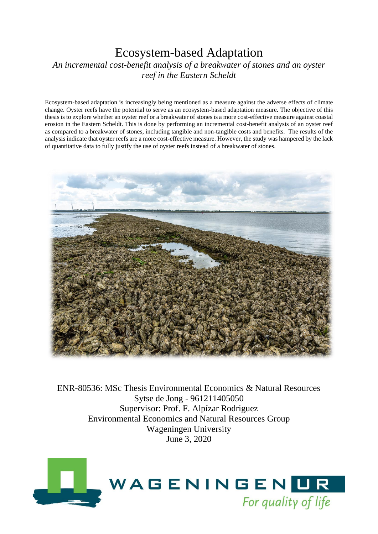# Ecosystem-based Adaptation *An incremental cost-benefit analysis of a breakwater of stones and an oyster reef in the Eastern Scheldt*

Ecosystem-based adaptation is increasingly being mentioned as a measure against the adverse effects of climate change. Oyster reefs have the potential to serve as an ecosystem-based adaptation measure. The objective of this thesis is to explore whether an oyster reef or a breakwater of stones is a more cost-effective measure against coastal erosion in the Eastern Scheldt. This is done by performing an incremental cost-benefit analysis of an oyster reef as compared to a breakwater of stones, including tangible and non-tangible costs and benefits. The results of the analysis indicate that oyster reefs are a more cost-effective measure. However, the study was hampered by the lack of quantitative data to fully justify the use of oyster reefs instead of a breakwater of stones.



ENR-80536: MSc Thesis Environmental Economics & Natural Resources Sytse de Jong - 961211405050 Supervisor: Prof. F. Alpízar Rodriguez Environmental Economics and Natural Resources Group Wageningen University June 3, 2020

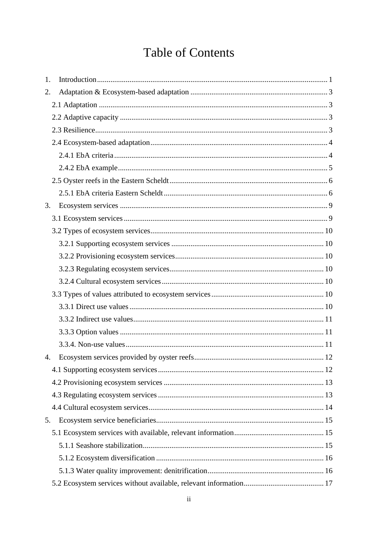# **Table of Contents**

| 1. |  |
|----|--|
| 2. |  |
|    |  |
|    |  |
|    |  |
|    |  |
|    |  |
|    |  |
|    |  |
|    |  |
| 3. |  |
|    |  |
|    |  |
|    |  |
|    |  |
|    |  |
|    |  |
|    |  |
|    |  |
|    |  |
|    |  |
|    |  |
| 4. |  |
|    |  |
|    |  |
|    |  |
|    |  |
| 5. |  |
|    |  |
|    |  |
|    |  |
|    |  |
|    |  |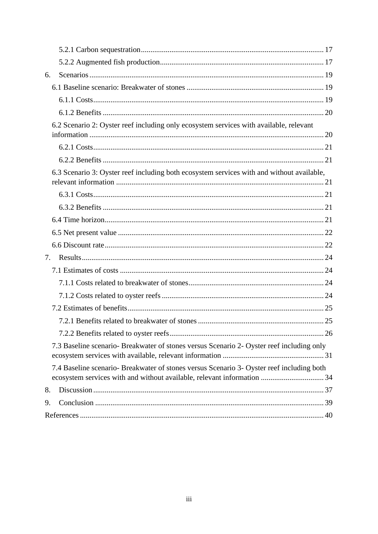| 6. |                                                                                                                                                                      |  |
|----|----------------------------------------------------------------------------------------------------------------------------------------------------------------------|--|
|    |                                                                                                                                                                      |  |
|    |                                                                                                                                                                      |  |
|    |                                                                                                                                                                      |  |
|    | 6.2 Scenario 2: Oyster reef including only ecosystem services with available, relevant                                                                               |  |
|    |                                                                                                                                                                      |  |
|    |                                                                                                                                                                      |  |
|    | 6.3 Scenario 3: Oyster reef including both ecosystem services with and without available,                                                                            |  |
|    |                                                                                                                                                                      |  |
|    |                                                                                                                                                                      |  |
|    |                                                                                                                                                                      |  |
|    |                                                                                                                                                                      |  |
|    |                                                                                                                                                                      |  |
| 7. |                                                                                                                                                                      |  |
|    |                                                                                                                                                                      |  |
|    |                                                                                                                                                                      |  |
|    |                                                                                                                                                                      |  |
|    |                                                                                                                                                                      |  |
|    |                                                                                                                                                                      |  |
|    |                                                                                                                                                                      |  |
|    | 7.3 Baseline scenario- Breakwater of stones versus Scenario 2- Oyster reef including only                                                                            |  |
|    | 7.4 Baseline scenario- Breakwater of stones versus Scenario 3- Oyster reef including both<br>ecosystem services with and without available, relevant information  34 |  |
| 8. |                                                                                                                                                                      |  |
| 9. |                                                                                                                                                                      |  |
|    |                                                                                                                                                                      |  |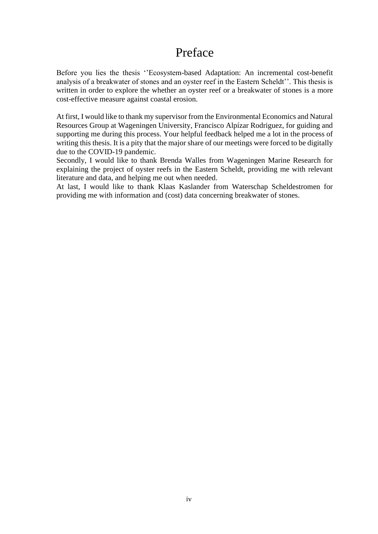# Preface

Before you lies the thesis ''Ecosystem-based Adaptation: An incremental cost-benefit analysis of a breakwater of stones and an oyster reef in the Eastern Scheldt''. This thesis is written in order to explore the whether an oyster reef or a breakwater of stones is a more cost-effective measure against coastal erosion.

At first, I would like to thank my supervisor from the Environmental Economics and Natural Resources Group at Wageningen University, Francisco Alpízar Rodriguez, for guiding and supporting me during this process. Your helpful feedback helped me a lot in the process of writing this thesis. It is a pity that the major share of our meetings were forced to be digitally due to the COVID-19 pandemic.

Secondly, I would like to thank Brenda Walles from Wageningen Marine Research for explaining the project of oyster reefs in the Eastern Scheldt, providing me with relevant literature and data, and helping me out when needed.

At last, I would like to thank Klaas Kaslander from Waterschap Scheldestromen for providing me with information and (cost) data concerning breakwater of stones.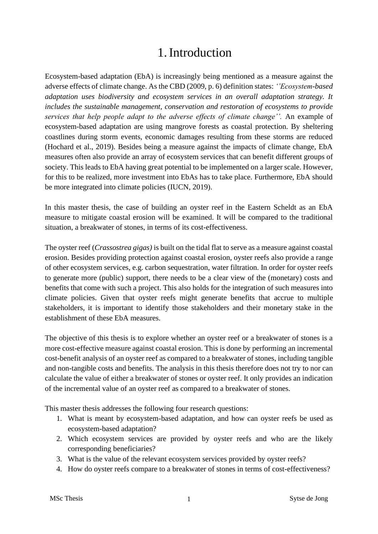# 1.Introduction

<span id="page-4-0"></span>Ecosystem-based adaptation (EbA) is increasingly being mentioned as a measure against the adverse effects of climate change. As the CBD (2009, p. 6) definition states: *''Ecosystem-based adaptation uses biodiversity and ecosystem services in an overall adaptation strategy. It includes the sustainable management, conservation and restoration of ecosystems to provide services that help people adapt to the adverse effects of climate change''.* An example of ecosystem-based adaptation are using mangrove forests as coastal protection. By sheltering coastlines during storm events, economic damages resulting from these storms are reduced (Hochard et al., 2019). Besides being a measure against the impacts of climate change, EbA measures often also provide an array of ecosystem services that can benefit different groups of society. This leads to EbA having great potential to be implemented on a larger scale. However, for this to be realized, more investment into EbAs has to take place. Furthermore, EbA should be more integrated into climate policies (IUCN, 2019).

In this master thesis, the case of building an oyster reef in the Eastern Scheldt as an EbA measure to mitigate coastal erosion will be examined. It will be compared to the traditional situation, a breakwater of stones, in terms of its cost-effectiveness.

The oyster reef (*Crassostrea gigas)* is built on the tidal flat to serve as a measure against coastal erosion. Besides providing protection against coastal erosion, oyster reefs also provide a range of other ecosystem services, e.g. carbon sequestration, water filtration. In order for oyster reefs to generate more (public) support, there needs to be a clear view of the (monetary) costs and benefits that come with such a project. This also holds for the integration of such measures into climate policies. Given that oyster reefs might generate benefits that accrue to multiple stakeholders, it is important to identify those stakeholders and their monetary stake in the establishment of these EbA measures.

The objective of this thesis is to explore whether an oyster reef or a breakwater of stones is a more cost-effective measure against coastal erosion. This is done by performing an incremental cost-benefit analysis of an oyster reef as compared to a breakwater of stones, including tangible and non-tangible costs and benefits. The analysis in this thesis therefore does not try to nor can calculate the value of either a breakwater of stones or oyster reef. It only provides an indication of the incremental value of an oyster reef as compared to a breakwater of stones.

This master thesis addresses the following four research questions:

- 1. What is meant by ecosystem-based adaptation, and how can oyster reefs be used as ecosystem-based adaptation?
- 2. Which ecosystem services are provided by oyster reefs and who are the likely corresponding beneficiaries?
- 3. What is the value of the relevant ecosystem services provided by oyster reefs?
- 4. How do oyster reefs compare to a breakwater of stones in terms of cost-effectiveness?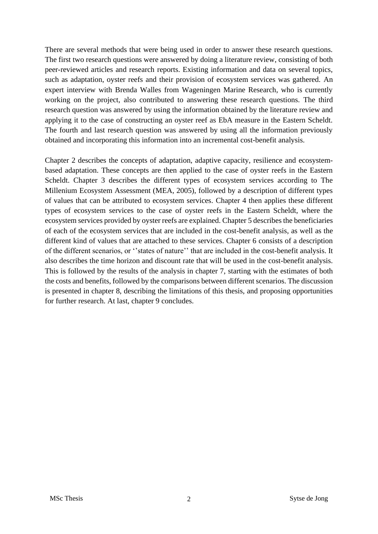There are several methods that were being used in order to answer these research questions. The first two research questions were answered by doing a literature review, consisting of both peer-reviewed articles and research reports. Existing information and data on several topics, such as adaptation, oyster reefs and their provision of ecosystem services was gathered. An expert interview with Brenda Walles from Wageningen Marine Research, who is currently working on the project, also contributed to answering these research questions. The third research question was answered by using the information obtained by the literature review and applying it to the case of constructing an oyster reef as EbA measure in the Eastern Scheldt. The fourth and last research question was answered by using all the information previously obtained and incorporating this information into an incremental cost-benefit analysis.

Chapter 2 describes the concepts of adaptation, adaptive capacity, resilience and ecosystembased adaptation. These concepts are then applied to the case of oyster reefs in the Eastern Scheldt. Chapter 3 describes the different types of ecosystem services according to The Millenium Ecosystem Assessment (MEA, 2005), followed by a description of different types of values that can be attributed to ecosystem services. Chapter 4 then applies these different types of ecosystem services to the case of oyster reefs in the Eastern Scheldt, where the ecosystem services provided by oyster reefs are explained. Chapter 5 describes the beneficiaries of each of the ecosystem services that are included in the cost-benefit analysis, as well as the different kind of values that are attached to these services. Chapter 6 consists of a description of the different scenarios, or ''states of nature'' that are included in the cost-benefit analysis. It also describes the time horizon and discount rate that will be used in the cost-benefit analysis. This is followed by the results of the analysis in chapter 7, starting with the estimates of both the costs and benefits, followed by the comparisons between different scenarios. The discussion is presented in chapter 8, describing the limitations of this thesis, and proposing opportunities for further research. At last, chapter 9 concludes.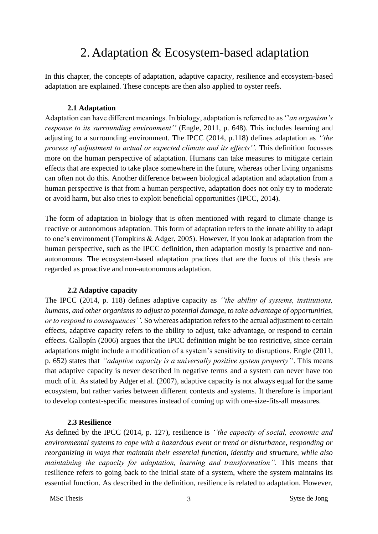# 2. Adaptation & Ecosystem-based adaptation

<span id="page-6-0"></span>In this chapter, the concepts of adaptation, adaptive capacity, resilience and ecosystem-based adaptation are explained. These concepts are then also applied to oyster reefs.

#### **2.1 Adaptation**

<span id="page-6-1"></span>Adaptation can have different meanings. In biology, adaptation is referred to as ''*an organism's response to its surrounding environment''* (Engle, 2011, p. 648). This includes learning and adjusting to a surrounding environment. The IPCC (2014, p.118) defines adaptation as *''the process of adjustment to actual or expected climate and its effects''.* This definition focusses more on the human perspective of adaptation. Humans can take measures to mitigate certain effects that are expected to take place somewhere in the future, whereas other living organisms can often not do this. Another difference between biological adaptation and adaptation from a human perspective is that from a human perspective, adaptation does not only try to moderate or avoid harm, but also tries to exploit beneficial opportunities (IPCC, 2014).

The form of adaptation in biology that is often mentioned with regard to climate change is reactive or autonomous adaptation. This form of adaptation refers to the innate ability to adapt to one's environment (Tompkins & Adger, 2005). However, if you look at adaptation from the human perspective, such as the IPCC definition, then adaptation mostly is proactive and nonautonomous. The ecosystem-based adaptation practices that are the focus of this thesis are regarded as proactive and non-autonomous adaptation.

#### <span id="page-6-2"></span>**2.2 Adaptive capacity**

The IPCC (2014, p. 118) defines adaptive capacity as *''the ability of systems, institutions, humans, and other organisms to adjust to potential damage, to take advantage of opportunities, or to respond to consequences''*. So whereas adaptation refers to the actual adjustment to certain effects, adaptive capacity refers to the ability to adjust, take advantage, or respond to certain effects. Gallopín (2006) argues that the IPCC definition might be too restrictive, since certain adaptations might include a modification of a system's sensitivity to disruptions. Engle (2011, p. 652) states that *''adaptive capacity is a universally positive system property''*. This means that adaptive capacity is never described in negative terms and a system can never have too much of it. As stated by Adger et al. (2007), adaptive capacity is not always equal for the same ecosystem, but rather varies between different contexts and systems. It therefore is important to develop context-specific measures instead of coming up with one-size-fits-all measures.

#### <span id="page-6-3"></span>**2.3 Resilience**

As defined by the IPCC (2014, p. 127), resilience is *''the capacity of social, economic and environmental systems to cope with a hazardous event or trend or disturbance, responding or reorganizing in ways that maintain their essential function, identity and structure, while also maintaining the capacity for adaptation, learning and transformation''.* This means that resilience refers to going back to the initial state of a system, where the system maintains its essential function. As described in the definition, resilience is related to adaptation. However,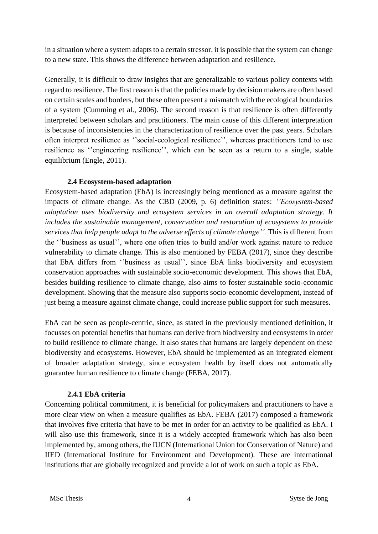in a situation where a system adapts to a certain stressor, it is possible that the system can change to a new state. This shows the difference between adaptation and resilience.

Generally, it is difficult to draw insights that are generalizable to various policy contexts with regard to resilience. The first reason is that the policies made by decision makers are often based on certain scales and borders, but these often present a mismatch with the ecological boundaries of a system (Cumming et al., 2006). The second reason is that resilience is often differently interpreted between scholars and practitioners. The main cause of this different interpretation is because of inconsistencies in the characterization of resilience over the past years. Scholars often interpret resilience as ''social-ecological resilience'', whereas practitioners tend to use resilience as ''engineering resilience'', which can be seen as a return to a single, stable equilibrium (Engle, 2011).

# **2.4 Ecosystem-based adaptation**

<span id="page-7-0"></span>Ecosystem-based adaptation (EbA) is increasingly being mentioned as a measure against the impacts of climate change. As the CBD (2009, p. 6) definition states: *''Ecosystem-based adaptation uses biodiversity and ecosystem services in an overall adaptation strategy. It includes the sustainable management, conservation and restoration of ecosystems to provide services that help people adapt to the adverse effects of climate change''.* This is different from the ''business as usual'', where one often tries to build and/or work against nature to reduce vulnerability to climate change. This is also mentioned by FEBA (2017), since they describe that EbA differs from ''business as usual'', since EbA links biodiversity and ecosystem conservation approaches with sustainable socio-economic development. This shows that EbA, besides building resilience to climate change, also aims to foster sustainable socio-economic development. Showing that the measure also supports socio-economic development, instead of just being a measure against climate change, could increase public support for such measures.

EbA can be seen as people-centric, since, as stated in the previously mentioned definition, it focusses on potential benefits that humans can derive from biodiversity and ecosystems in order to build resilience to climate change. It also states that humans are largely dependent on these biodiversity and ecosystems. However, EbA should be implemented as an integrated element of broader adaptation strategy, since ecosystem health by itself does not automatically guarantee human resilience to climate change (FEBA, 2017).

# <span id="page-7-1"></span>**2.4.1 EbA criteria**

Concerning political commitment, it is beneficial for policymakers and practitioners to have a more clear view on when a measure qualifies as EbA. FEBA (2017) composed a framework that involves five criteria that have to be met in order for an activity to be qualified as EbA. I will also use this framework, since it is a widely accepted framework which has also been implemented by, among others, the IUCN (International Union for Conservation of Nature) and IIED (International Institute for Environment and Development). These are international institutions that are globally recognized and provide a lot of work on such a topic as EbA.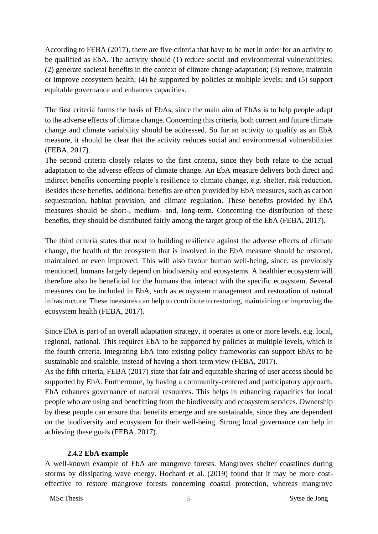According to FEBA (2017), there are five criteria that have to be met in order for an activity to be qualified as EbA. The activity should (1) reduce social and environmental vulnerabilities; (2) generate societal benefits in the context of climate change adaptation; (3) restore, maintain or improve ecosystem health; (4) be supported by policies at multiple levels; and (5) support equitable governance and enhances capacities.

The first criteria forms the basis of EbAs, since the main aim of EbAs is to help people adapt to the adverse effects of climate change. Concerning this criteria, both current and future climate change and climate variability should be addressed. So for an activity to qualify as an EbA measure, it should be clear that the activity reduces social and environmental vulnerabilities (FEBA, 2017).

The second criteria closely relates to the first criteria, since they both relate to the actual adaptation to the adverse effects of climate change. An EbA measure delivers both direct and indirect benefits concerning people's resilience to climate change, e.g. shelter, risk reduction. Besides these benefits, additional benefits are often provided by EbA measures, such as carbon sequestration, habitat provision, and climate regulation. These benefits provided by EbA measures should be short-, medium- and, long-term. Concerning the distribution of these benefits, they should be distributed fairly among the target group of the EbA (FEBA, 2017).

The third criteria states that next to building resilience against the adverse effects of climate change, the health of the ecosystem that is involved in the EbA measure should be restored, maintained or even improved. This will also favour human well-being, since, as previously mentioned, humans largely depend on biodiversity and ecosystems. A healthier ecosystem will therefore also be beneficial for the humans that interact with the specific ecosystem. Several measures can be included in EbA, such as ecosystem management and restoration of natural infrastructure. These measures can help to contribute to restoring, maintaining or improving the ecosystem health (FEBA, 2017).

Since EbA is part of an overall adaptation strategy, it operates at one or more levels, e.g. local, regional, national. This requires EbA to be supported by policies at multiple levels, which is the fourth criteria. Integrating EbA into existing policy frameworks can support EbAs to be sustainable and scalable, instead of having a short-term view (FEBA, 2017).

As the fifth criteria, FEBA (2017) state that fair and equitable sharing of user access should be supported by EbA. Furthermore, by having a community-centered and participatory approach, EbA enhances governance of natural resources. This helps in enhancing capacities for local people who are using and benefitting from the biodiversity and ecosystem services. Ownership by these people can ensure that benefits emerge and are sustainable, since they are dependent on the biodiversity and ecosystem for their well-being. Strong local governance can help in achieving these goals (FEBA, 2017).

# **2.4.2 EbA example**

<span id="page-8-0"></span>A well-known example of EbA are mangrove forests. Mangroves shelter coastlines during storms by dissipating wave energy. Hochard et al. (2019) found that it may be more costeffective to restore mangrove forests concerning coastal protection, whereas mangrove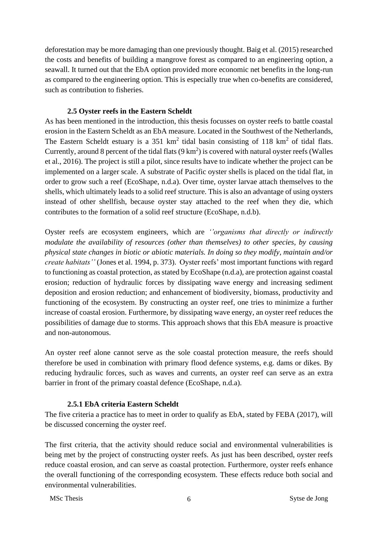deforestation may be more damaging than one previously thought. Baig et al. (2015) researched the costs and benefits of building a mangrove forest as compared to an engineering option, a seawall. It turned out that the EbA option provided more economic net benefits in the long-run as compared to the engineering option. This is especially true when co-benefits are considered, such as contribution to fisheries.

## **2.5 Oyster reefs in the Eastern Scheldt**

<span id="page-9-0"></span>As has been mentioned in the introduction, this thesis focusses on oyster reefs to battle coastal erosion in the Eastern Scheldt as an EbA measure. Located in the Southwest of the Netherlands, The Eastern Scheldt estuary is a  $351 \text{ km}^2$  tidal basin consisting of  $118 \text{ km}^2$  of tidal flats. Currently, around 8 percent of the tidal flats  $(9 \text{ km}^2)$  is covered with natural oyster reefs (Walles et al., 2016). The project is still a pilot, since results have to indicate whether the project can be implemented on a larger scale. A substrate of Pacific oyster shells is placed on the tidal flat, in order to grow such a reef (EcoShape, n.d.a). Over time, oyster larvae attach themselves to the shells, which ultimately leads to a solid reef structure. This is also an advantage of using oysters instead of other shellfish, because oyster stay attached to the reef when they die, which contributes to the formation of a solid reef structure (EcoShape, n.d.b).

Oyster reefs are ecosystem engineers, which are *''organisms that directly or indirectly modulate the availability of resources (other than themselves) to other species, by causing physical state changes in biotic or abiotic materials. In doing so they modify, maintain and/or create habitats''* (Jones et al. 1994, p. 373). Oyster reefs' most important functions with regard to functioning as coastal protection, as stated by EcoShape (n.d.a), are protection against coastal erosion; reduction of hydraulic forces by dissipating wave energy and increasing sediment deposition and erosion reduction; and enhancement of biodiversity, biomass, productivity and functioning of the ecosystem. By constructing an oyster reef, one tries to minimize a further increase of coastal erosion. Furthermore, by dissipating wave energy, an oyster reef reduces the possibilities of damage due to storms. This approach shows that this EbA measure is proactive and non-autonomous.

An oyster reef alone cannot serve as the sole coastal protection measure, the reefs should therefore be used in combination with primary flood defence systems, e.g. dams or dikes. By reducing hydraulic forces, such as waves and currents, an oyster reef can serve as an extra barrier in front of the primary coastal defence (EcoShape, n.d.a).

# **2.5.1 EbA criteria Eastern Scheldt**

<span id="page-9-1"></span>The five criteria a practice has to meet in order to qualify as EbA, stated by FEBA (2017), will be discussed concerning the oyster reef.

The first criteria, that the activity should reduce social and environmental vulnerabilities is being met by the project of constructing oyster reefs. As just has been described, oyster reefs reduce coastal erosion, and can serve as coastal protection. Furthermore, oyster reefs enhance the overall functioning of the corresponding ecosystem. These effects reduce both social and environmental vulnerabilities.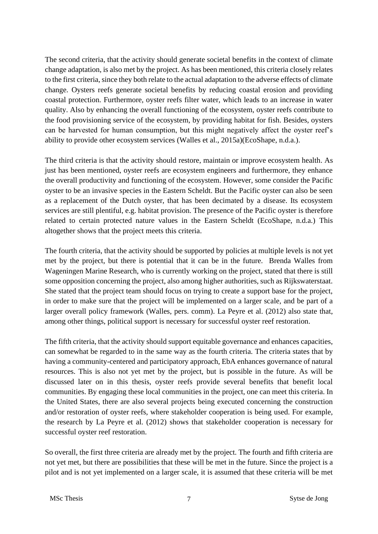The second criteria, that the activity should generate societal benefits in the context of climate change adaptation, is also met by the project. As has been mentioned, this criteria closely relates to the first criteria, since they both relate to the actual adaptation to the adverse effects of climate change. Oysters reefs generate societal benefits by reducing coastal erosion and providing coastal protection. Furthermore, oyster reefs filter water, which leads to an increase in water quality. Also by enhancing the overall functioning of the ecosystem, oyster reefs contribute to the food provisioning service of the ecosystem, by providing habitat for fish. Besides, oysters can be harvested for human consumption, but this might negatively affect the oyster reef's ability to provide other ecosystem services (Walles et al., 2015a)(EcoShape, n.d.a.).

The third criteria is that the activity should restore, maintain or improve ecosystem health. As just has been mentioned, oyster reefs are ecosystem engineers and furthermore, they enhance the overall productivity and functioning of the ecosystem. However, some consider the Pacific oyster to be an invasive species in the Eastern Scheldt. But the Pacific oyster can also be seen as a replacement of the Dutch oyster, that has been decimated by a disease. Its ecosystem services are still plentiful, e.g. habitat provision. The presence of the Pacific oyster is therefore related to certain protected nature values in the Eastern Scheldt (EcoShape, n.d.a.) This altogether shows that the project meets this criteria.

The fourth criteria, that the activity should be supported by policies at multiple levels is not yet met by the project, but there is potential that it can be in the future. Brenda Walles from Wageningen Marine Research, who is currently working on the project, stated that there is still some opposition concerning the project, also among higher authorities, such as Rijkswaterstaat. She stated that the project team should focus on trying to create a support base for the project, in order to make sure that the project will be implemented on a larger scale, and be part of a larger overall policy framework (Walles, pers. comm). La Peyre et al. (2012) also state that, among other things, political support is necessary for successful oyster reef restoration.

The fifth criteria, that the activity should support equitable governance and enhances capacities, can somewhat be regarded to in the same way as the fourth criteria. The criteria states that by having a community-centered and participatory approach, EbA enhances governance of natural resources. This is also not yet met by the project, but is possible in the future. As will be discussed later on in this thesis, oyster reefs provide several benefits that benefit local communities. By engaging these local communities in the project, one can meet this criteria. In the United States, there are also several projects being executed concerning the construction and/or restoration of oyster reefs, where stakeholder cooperation is being used. For example, the research by La Peyre et al. (2012) shows that stakeholder cooperation is necessary for successful oyster reef restoration.

So overall, the first three criteria are already met by the project. The fourth and fifth criteria are not yet met, but there are possibilities that these will be met in the future. Since the project is a pilot and is not yet implemented on a larger scale, it is assumed that these criteria will be met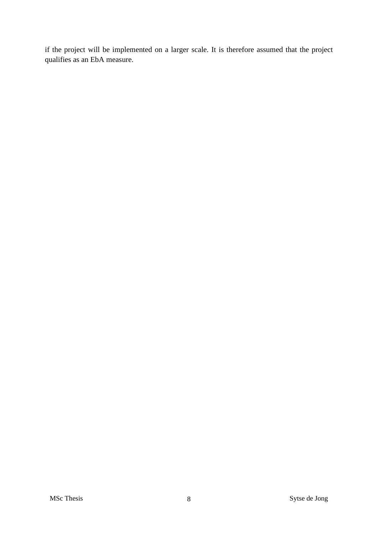if the project will be implemented on a larger scale. It is therefore assumed that the project qualifies as an EbA measure.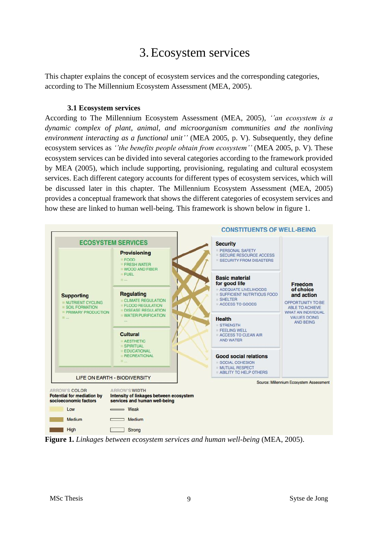# 3.Ecosystem services

<span id="page-12-0"></span>This chapter explains the concept of ecosystem services and the corresponding categories, according to The Millennium Ecosystem Assessment (MEA, 2005).

#### **3.1 Ecosystem services**

<span id="page-12-1"></span>According to The Millennium Ecosystem Assessment (MEA, 2005), *''an ecosystem is a dynamic complex of plant, animal, and microorganism communities and the nonliving environment interacting as a functional unit''* (MEA 2005, p. V). Subsequently, they define ecosystem services as *''the benefits people obtain from ecosystem''* (MEA 2005, p. V). These ecosystem services can be divided into several categories according to the framework provided by MEA (2005), which include supporting, provisioning, regulating and cultural ecosystem services. Each different category accounts for different types of ecosystem services, which will be discussed later in this chapter. The Millennium Ecosystem Assessment (MEA, 2005) provides a conceptual framework that shows the different categories of ecosystem services and how these are linked to human well-being. This framework is shown below in figure 1.



**Figure 1.** *Linkages between ecosystem services and human well-being* (MEA, 2005).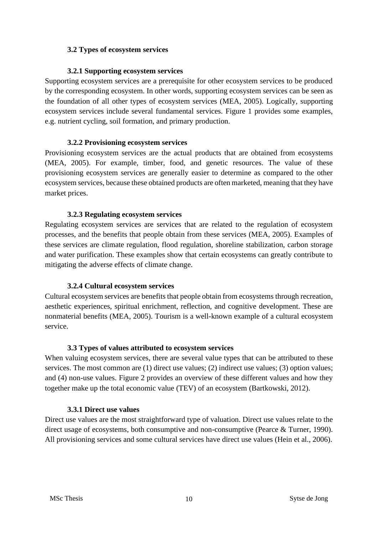#### <span id="page-13-0"></span>**3.2 Types of ecosystem services**

#### **3.2.1 Supporting ecosystem services**

<span id="page-13-1"></span>Supporting ecosystem services are a prerequisite for other ecosystem services to be produced by the corresponding ecosystem. In other words, supporting ecosystem services can be seen as the foundation of all other types of ecosystem services (MEA, 2005). Logically, supporting ecosystem services include several fundamental services. Figure 1 provides some examples, e.g. nutrient cycling, soil formation, and primary production.

#### **3.2.2 Provisioning ecosystem services**

<span id="page-13-2"></span>Provisioning ecosystem services are the actual products that are obtained from ecosystems (MEA, 2005). For example, timber, food, and genetic resources. The value of these provisioning ecosystem services are generally easier to determine as compared to the other ecosystem services, because these obtained products are often marketed, meaning that they have market prices.

#### **3.2.3 Regulating ecosystem services**

<span id="page-13-3"></span>Regulating ecosystem services are services that are related to the regulation of ecosystem processes, and the benefits that people obtain from these services (MEA, 2005). Examples of these services are climate regulation, flood regulation, shoreline stabilization, carbon storage and water purification. These examples show that certain ecosystems can greatly contribute to mitigating the adverse effects of climate change.

#### **3.2.4 Cultural ecosystem services**

<span id="page-13-4"></span>Cultural ecosystem services are benefits that people obtain from ecosystems through recreation, aesthetic experiences, spiritual enrichment, reflection, and cognitive development. These are nonmaterial benefits (MEA, 2005). Tourism is a well-known example of a cultural ecosystem service.

#### **3.3 Types of values attributed to ecosystem services**

<span id="page-13-5"></span>When valuing ecosystem services, there are several value types that can be attributed to these services. The most common are (1) direct use values; (2) indirect use values; (3) option values; and (4) non-use values. Figure 2 provides an overview of these different values and how they together make up the total economic value (TEV) of an ecosystem (Bartkowski, 2012).

#### **3.3.1 Direct use values**

<span id="page-13-6"></span>Direct use values are the most straightforward type of valuation. Direct use values relate to the direct usage of ecosystems, both consumptive and non-consumptive (Pearce & Turner, 1990). All provisioning services and some cultural services have direct use values (Hein et al., 2006).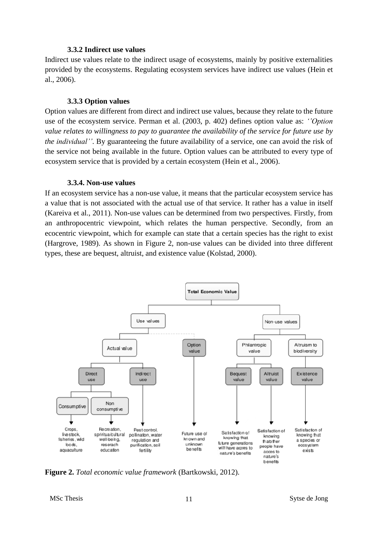#### **3.3.2 Indirect use values**

<span id="page-14-0"></span>Indirect use values relate to the indirect usage of ecosystems, mainly by positive externalities provided by the ecosystems. Regulating ecosystem services have indirect use values (Hein et al., 2006).

#### **3.3.3 Option values**

<span id="page-14-1"></span>Option values are different from direct and indirect use values, because they relate to the future use of the ecosystem service. Perman et al. (2003, p. 402) defines option value as: *''Option value relates to willingness to pay to guarantee the availability of the service for future use by the individual''*. By guaranteeing the future availability of a service, one can avoid the risk of the service not being available in the future. Option values can be attributed to every type of ecosystem service that is provided by a certain ecosystem (Hein et al., 2006).

#### **3.3.4. Non-use values**

<span id="page-14-2"></span>If an ecosystem service has a non-use value, it means that the particular ecosystem service has a value that is not associated with the actual use of that service. It rather has a value in itself (Kareiva et al., 2011). Non-use values can be determined from two perspectives. Firstly, from an anthropocentric viewpoint, which relates the human perspective. Secondly, from an ecocentric viewpoint, which for example can state that a certain species has the right to exist (Hargrove, 1989). As shown in Figure 2, non-use values can be divided into three different types, these are bequest, altruist, and existence value (Kolstad, 2000).



**Figure 2.** *Total economic value framework* (Bartkowski, 2012).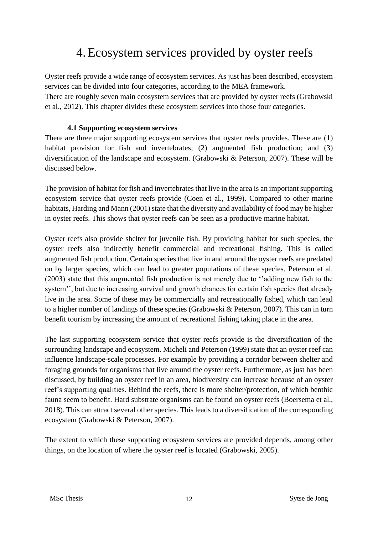# 4.Ecosystem services provided by oyster reefs

<span id="page-15-0"></span>Oyster reefs provide a wide range of ecosystem services. As just has been described, ecosystem services can be divided into four categories, according to the MEA framework.

There are roughly seven main ecosystem services that are provided by oyster reefs (Grabowski et al., 2012). This chapter divides these ecosystem services into those four categories.

### **4.1 Supporting ecosystem services**

<span id="page-15-1"></span>There are three major supporting ecosystem services that oyster reefs provides. These are (1) habitat provision for fish and invertebrates; (2) augmented fish production; and (3) diversification of the landscape and ecosystem. (Grabowski & Peterson, 2007). These will be discussed below.

The provision of habitat for fish and invertebrates that live in the area is an important supporting ecosystem service that oyster reefs provide (Coen et al., 1999). Compared to other marine habitats, Harding and Mann (2001) state that the diversity and availability of food may be higher in oyster reefs. This shows that oyster reefs can be seen as a productive marine habitat.

Oyster reefs also provide shelter for juvenile fish. By providing habitat for such species, the oyster reefs also indirectly benefit commercial and recreational fishing. This is called augmented fish production. Certain species that live in and around the oyster reefs are predated on by larger species, which can lead to greater populations of these species. Peterson et al. (2003) state that this augmented fish production is not merely due to ''adding new fish to the system'', but due to increasing survival and growth chances for certain fish species that already live in the area. Some of these may be commercially and recreationally fished, which can lead to a higher number of landings of these species (Grabowski & Peterson, 2007). This can in turn benefit tourism by increasing the amount of recreational fishing taking place in the area.

The last supporting ecosystem service that oyster reefs provide is the diversification of the surrounding landscape and ecosystem. Micheli and Peterson (1999) state that an oyster reef can influence landscape-scale processes. For example by providing a corridor between shelter and foraging grounds for organisms that live around the oyster reefs. Furthermore, as just has been discussed, by building an oyster reef in an area, biodiversity can increase because of an oyster reef's supporting qualities. Behind the reefs, there is more shelter/protection, of which benthic fauna seem to benefit. Hard substrate organisms can be found on oyster reefs (Boersema et al., 2018). This can attract several other species. This leads to a diversification of the corresponding ecosystem (Grabowski & Peterson, 2007).

The extent to which these supporting ecosystem services are provided depends, among other things, on the location of where the oyster reef is located (Grabowski, 2005).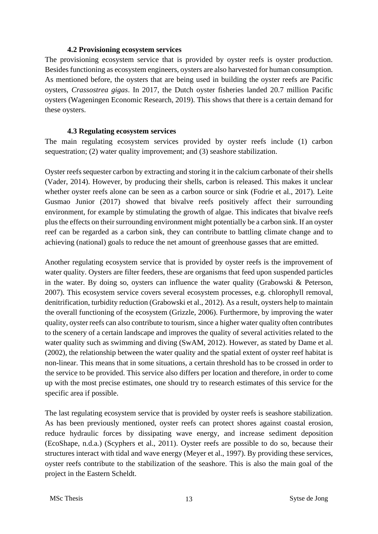#### **4.2 Provisioning ecosystem services**

<span id="page-16-0"></span>The provisioning ecosystem service that is provided by oyster reefs is oyster production. Besides functioning as ecosystem engineers, oysters are also harvested for human consumption. As mentioned before, the oysters that are being used in building the oyster reefs are Pacific oysters, *Crassostrea gigas*. In 2017, the Dutch oyster fisheries landed 20.7 million Pacific oysters (Wageningen Economic Research, 2019). This shows that there is a certain demand for these oysters.

#### **4.3 Regulating ecosystem services**

<span id="page-16-1"></span>The main regulating ecosystem services provided by oyster reefs include (1) carbon sequestration; (2) water quality improvement; and (3) seashore stabilization.

Oyster reefs sequester carbon by extracting and storing it in the calcium carbonate of their shells (Vader, 2014). However, by producing their shells, carbon is released. This makes it unclear whether oyster reefs alone can be seen as a carbon source or sink (Fodrie et al., 2017). Leite Gusmao Junior (2017) showed that bivalve reefs positively affect their surrounding environment, for example by stimulating the growth of algae. This indicates that bivalve reefs plus the effects on their surrounding environment might potentially be a carbon sink. If an oyster reef can be regarded as a carbon sink, they can contribute to battling climate change and to achieving (national) goals to reduce the net amount of greenhouse gasses that are emitted.

Another regulating ecosystem service that is provided by oyster reefs is the improvement of water quality. Oysters are filter feeders, these are organisms that feed upon suspended particles in the water. By doing so, oysters can influence the water quality (Grabowski & Peterson, 2007). This ecosystem service covers several ecosystem processes, e.g. chlorophyll removal, denitrification, turbidity reduction (Grabowski et al., 2012). As a result, oysters help to maintain the overall functioning of the ecosystem (Grizzle, 2006). Furthermore, by improving the water quality, oyster reefs can also contribute to tourism, since a higher water quality often contributes to the scenery of a certain landscape and improves the quality of several activities related to the water quality such as swimming and diving (SwAM, 2012). However, as stated by Dame et al. (2002), the relationship between the water quality and the spatial extent of oyster reef habitat is non-linear. This means that in some situations, a certain threshold has to be crossed in order to the service to be provided. This service also differs per location and therefore, in order to come up with the most precise estimates, one should try to research estimates of this service for the specific area if possible.

The last regulating ecosystem service that is provided by oyster reefs is seashore stabilization. As has been previously mentioned, oyster reefs can protect shores against coastal erosion, reduce hydraulic forces by dissipating wave energy, and increase sediment deposition (EcoShape, n.d.a.) (Scyphers et al., 2011). Oyster reefs are possible to do so, because their structures interact with tidal and wave energy (Meyer et al., 1997). By providing these services, oyster reefs contribute to the stabilization of the seashore. This is also the main goal of the project in the Eastern Scheldt.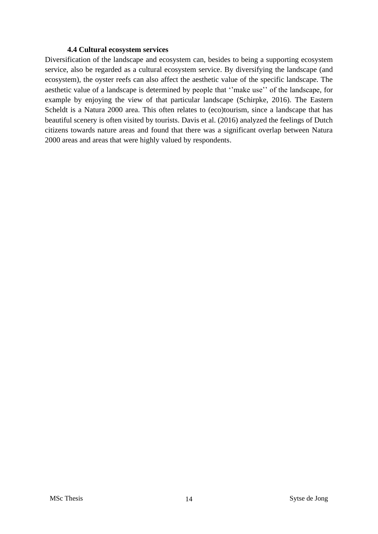#### **4.4 Cultural ecosystem services**

<span id="page-17-0"></span>Diversification of the landscape and ecosystem can, besides to being a supporting ecosystem service, also be regarded as a cultural ecosystem service. By diversifying the landscape (and ecosystem), the oyster reefs can also affect the aesthetic value of the specific landscape. The aesthetic value of a landscape is determined by people that ''make use'' of the landscape, for example by enjoying the view of that particular landscape (Schirpke, 2016). The Eastern Scheldt is a Natura 2000 area. This often relates to (eco)tourism, since a landscape that has beautiful scenery is often visited by tourists. Davis et al. (2016) analyzed the feelings of Dutch citizens towards nature areas and found that there was a significant overlap between Natura 2000 areas and areas that were highly valued by respondents.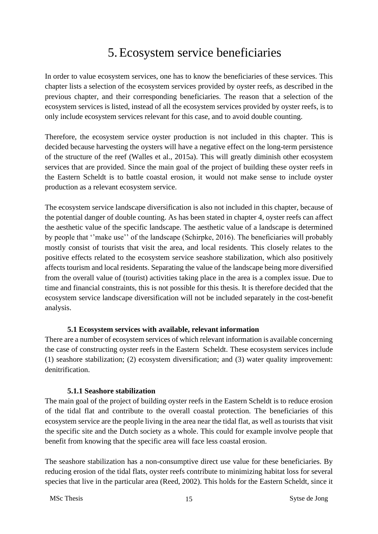# 5.Ecosystem service beneficiaries

<span id="page-18-0"></span>In order to value ecosystem services, one has to know the beneficiaries of these services. This chapter lists a selection of the ecosystem services provided by oyster reefs, as described in the previous chapter, and their corresponding beneficiaries. The reason that a selection of the ecosystem services is listed, instead of all the ecosystem services provided by oyster reefs, is to only include ecosystem services relevant for this case, and to avoid double counting.

Therefore, the ecosystem service oyster production is not included in this chapter. This is decided because harvesting the oysters will have a negative effect on the long-term persistence of the structure of the reef (Walles et al., 2015a). This will greatly diminish other ecosystem services that are provided. Since the main goal of the project of building these oyster reefs in the Eastern Scheldt is to battle coastal erosion, it would not make sense to include oyster production as a relevant ecosystem service.

The ecosystem service landscape diversification is also not included in this chapter, because of the potential danger of double counting. As has been stated in chapter 4, oyster reefs can affect the aesthetic value of the specific landscape. The aesthetic value of a landscape is determined by people that ''make use'' of the landscape (Schirpke, 2016). The beneficiaries will probably mostly consist of tourists that visit the area, and local residents. This closely relates to the positive effects related to the ecosystem service seashore stabilization, which also positively affects tourism and local residents. Separating the value of the landscape being more diversified from the overall value of (tourist) activities taking place in the area is a complex issue. Due to time and financial constraints, this is not possible for this thesis. It is therefore decided that the ecosystem service landscape diversification will not be included separately in the cost-benefit analysis.

# <span id="page-18-1"></span>**5.1 Ecosystem services with available, relevant information**

There are a number of ecosystem services of which relevant information is available concerning the case of constructing oyster reefs in the Eastern Scheldt. These ecosystem services include (1) seashore stabilization; (2) ecosystem diversification; and (3) water quality improvement: denitrification.

# **5.1.1 Seashore stabilization**

<span id="page-18-2"></span>The main goal of the project of building oyster reefs in the Eastern Scheldt is to reduce erosion of the tidal flat and contribute to the overall coastal protection. The beneficiaries of this ecosystem service are the people living in the area near the tidal flat, as well as tourists that visit the specific site and the Dutch society as a whole. This could for example involve people that benefit from knowing that the specific area will face less coastal erosion.

The seashore stabilization has a non-consumptive direct use value for these beneficiaries. By reducing erosion of the tidal flats, oyster reefs contribute to minimizing habitat loss for several species that live in the particular area (Reed, 2002). This holds for the Eastern Scheldt, since it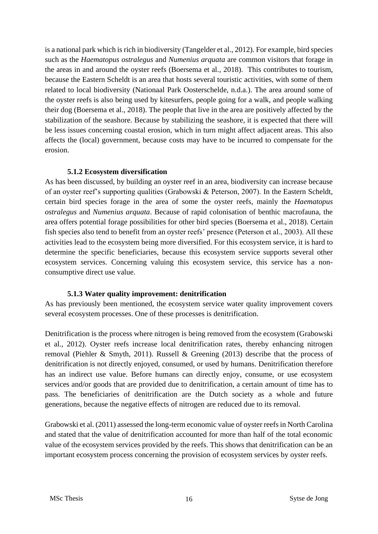is a national park which is rich in biodiversity (Tangelder et al., 2012). For example, bird species such as the *Haematopus ostralegus* and *Numenius arquata* are common visitors that forage in the areas in and around the oyster reefs (Boersema et al., 2018). This contributes to tourism, because the Eastern Scheldt is an area that hosts several touristic activities, with some of them related to local biodiversity (Nationaal Park Oosterschelde, n.d.a.). The area around some of the oyster reefs is also being used by kitesurfers, people going for a walk, and people walking their dog (Boersema et al., 2018). The people that live in the area are positively affected by the stabilization of the seashore. Because by stabilizing the seashore, it is expected that there will be less issues concerning coastal erosion, which in turn might affect adjacent areas. This also affects the (local) government, because costs may have to be incurred to compensate for the erosion.

#### **5.1.2 Ecosystem diversification**

<span id="page-19-0"></span>As has been discussed, by building an oyster reef in an area, biodiversity can increase because of an oyster reef's supporting qualities (Grabowski & Peterson, 2007). In the Eastern Scheldt, certain bird species forage in the area of some the oyster reefs, mainly the *Haematopus ostralegus* and *Numenius arquata*. Because of rapid colonisation of benthic macrofauna, the area offers potential forage possibilities for other bird species (Boersema et al., 2018). Certain fish species also tend to benefit from an oyster reefs' presence (Peterson et al., 2003). All these activities lead to the ecosystem being more diversified. For this ecosystem service, it is hard to determine the specific beneficiaries, because this ecosystem service supports several other ecosystem services. Concerning valuing this ecosystem service, this service has a nonconsumptive direct use value.

#### **5.1.3 Water quality improvement: denitrification**

<span id="page-19-1"></span>As has previously been mentioned, the ecosystem service water quality improvement covers several ecosystem processes. One of these processes is denitrification.

Denitrification is the process where nitrogen is being removed from the ecosystem (Grabowski et al., 2012). Oyster reefs increase local denitrification rates, thereby enhancing nitrogen removal (Piehler & Smyth, 2011). Russell & Greening (2013) describe that the process of denitrification is not directly enjoyed, consumed, or used by humans. Denitrification therefore has an indirect use value. Before humans can directly enjoy, consume, or use ecosystem services and/or goods that are provided due to denitrification, a certain amount of time has to pass. The beneficiaries of denitrification are the Dutch society as a whole and future generations, because the negative effects of nitrogen are reduced due to its removal.

Grabowski et al. (2011) assessed the long-term economic value of oyster reefs in North Carolina and stated that the value of denitrification accounted for more than half of the total economic value of the ecosystem services provided by the reefs. This shows that denitrification can be an important ecosystem process concerning the provision of ecosystem services by oyster reefs.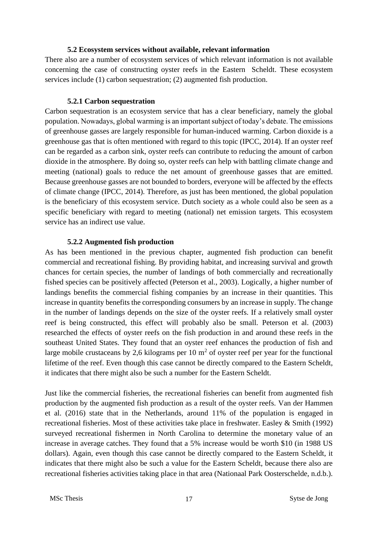#### **5.2 Ecosystem services without available, relevant information**

<span id="page-20-0"></span>There also are a number of ecosystem services of which relevant information is not available concerning the case of constructing oyster reefs in the Eastern Scheldt. These ecosystem services include (1) carbon sequestration; (2) augmented fish production.

### **5.2.1 Carbon sequestration**

<span id="page-20-1"></span>Carbon sequestration is an ecosystem service that has a clear beneficiary, namely the global population. Nowadays, global warming is an important subject of today's debate. The emissions of greenhouse gasses are largely responsible for human-induced warming. Carbon dioxide is a greenhouse gas that is often mentioned with regard to this topic (IPCC, 2014). If an oyster reef can be regarded as a carbon sink, oyster reefs can contribute to reducing the amount of carbon dioxide in the atmosphere. By doing so, oyster reefs can help with battling climate change and meeting (national) goals to reduce the net amount of greenhouse gasses that are emitted. Because greenhouse gasses are not bounded to borders, everyone will be affected by the effects of climate change (IPCC, 2014). Therefore, as just has been mentioned, the global population is the beneficiary of this ecosystem service. Dutch society as a whole could also be seen as a specific beneficiary with regard to meeting (national) net emission targets. This ecosystem service has an indirect use value.

#### **5.2.2 Augmented fish production**

<span id="page-20-2"></span>As has been mentioned in the previous chapter, augmented fish production can benefit commercial and recreational fishing. By providing habitat, and increasing survival and growth chances for certain species, the number of landings of both commercially and recreationally fished species can be positively affected (Peterson et al., 2003). Logically, a higher number of landings benefits the commercial fishing companies by an increase in their quantities. This increase in quantity benefits the corresponding consumers by an increase in supply. The change in the number of landings depends on the size of the oyster reefs. If a relatively small oyster reef is being constructed, this effect will probably also be small. Peterson et al. (2003) researched the effects of oyster reefs on the fish production in and around these reefs in the southeast United States. They found that an oyster reef enhances the production of fish and large mobile crustaceans by 2,6 kilograms per 10  $m<sup>2</sup>$  of oyster reef per year for the functional lifetime of the reef. Even though this case cannot be directly compared to the Eastern Scheldt, it indicates that there might also be such a number for the Eastern Scheldt.

Just like the commercial fisheries, the recreational fisheries can benefit from augmented fish production by the augmented fish production as a result of the oyster reefs. Van der Hammen et al. (2016) state that in the Netherlands, around 11% of the population is engaged in recreational fisheries. Most of these activities take place in freshwater. Easley & Smith (1992) surveyed recreational fishermen in North Carolina to determine the monetary value of an increase in average catches. They found that a 5% increase would be worth \$10 (in 1988 US dollars). Again, even though this case cannot be directly compared to the Eastern Scheldt, it indicates that there might also be such a value for the Eastern Scheldt, because there also are recreational fisheries activities taking place in that area (Nationaal Park Oosterschelde, n.d.b.).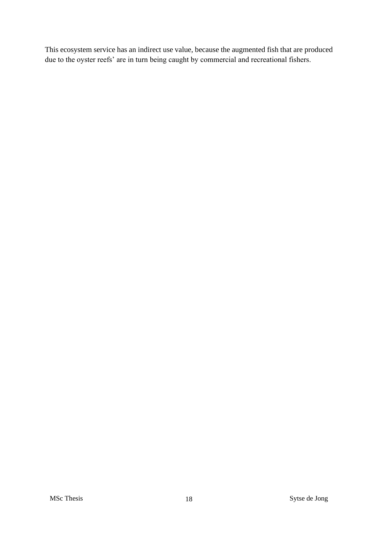This ecosystem service has an indirect use value, because the augmented fish that are produced due to the oyster reefs' are in turn being caught by commercial and recreational fishers.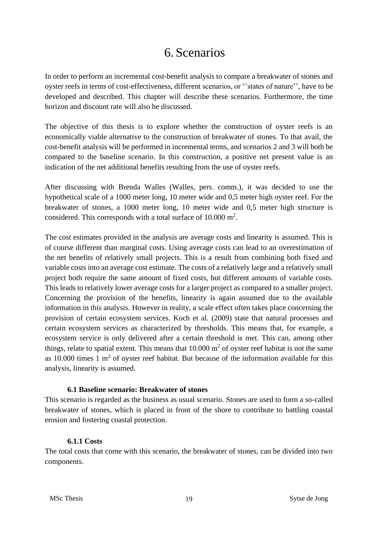# 6. Scenarios

<span id="page-22-0"></span>In order to perform an incremental cost-benefit analysis to compare a breakwater of stones and oyster reefs in terms of cost-effectiveness, different scenarios, or ''states of nature'', have to be developed and described. This chapter will describe these scenarios. Furthermore, the time horizon and discount rate will also be discussed.

The objective of this thesis is to explore whether the construction of oyster reefs is an economically viable alternative to the construction of breakwater of stones. To that avail, the cost-benefit analysis will be performed in incremental terms, and scenarios 2 and 3 will both be compared to the baseline scenario. In this construction, a positive net present value is an indication of the net additional benefits resulting from the use of oyster reefs.

After discussing with Brenda Walles (Walles, pers. comm.), it was decided to use the hypothetical scale of a 1000 meter long, 10 meter wide and 0,5 meter high oyster reef. For the breakwater of stones, a 1000 meter long, 10 meter wide and 0,5 meter high structure is considered. This corresponds with a total surface of  $10.000 \text{ m}^2$ .

The cost estimates provided in the analysis are average costs and linearity is assumed. This is of course different than marginal costs. Using average costs can lead to an overestimation of the net benefits of relatively small projects. This is a result from combining both fixed and variable costs into an average cost estimate. The costs of a relatively large and a relatively small project both require the same amount of fixed costs, but different amounts of variable costs. This leads to relatively lower average costs for a larger project as compared to a smaller project. Concerning the provision of the benefits, linearity is again assumed due to the available information in this analysis. However in reality, a scale effect often takes place concerning the provision of certain ecosystem services. Koch et al. (2009) state that natural processes and certain ecosystem services as characterized by thresholds. This means that, for example, a ecosystem service is only delivered after a certain threshold is met. This can, among other things, relate to spatial extent. This means that  $10.000 \text{ m}^2$  of oyster reef habitat is not the same as 10.000 times 1  $m<sup>2</sup>$  of oyster reef habitat. But because of the information available for this analysis, linearity is assumed.

#### <span id="page-22-1"></span>**6.1 Baseline scenario: Breakwater of stones**

This scenario is regarded as the business as usual scenario. Stones are used to form a so-called breakwater of stones, which is placed in front of the shore to contribute to battling coastal erosion and fostering coastal protection.

#### <span id="page-22-2"></span>**6.1.1 Costs**

The total costs that come with this scenario, the breakwater of stones, can be divided into two components.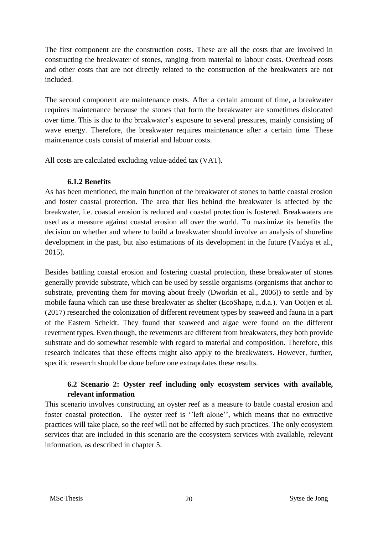The first component are the construction costs. These are all the costs that are involved in constructing the breakwater of stones, ranging from material to labour costs. Overhead costs and other costs that are not directly related to the construction of the breakwaters are not included.

The second component are maintenance costs. After a certain amount of time, a breakwater requires maintenance because the stones that form the breakwater are sometimes dislocated over time. This is due to the breakwater's exposure to several pressures, mainly consisting of wave energy. Therefore, the breakwater requires maintenance after a certain time. These maintenance costs consist of material and labour costs.

All costs are calculated excluding value-added tax (VAT).

# <span id="page-23-0"></span>**6.1.2 Benefits**

As has been mentioned, the main function of the breakwater of stones to battle coastal erosion and foster coastal protection. The area that lies behind the breakwater is affected by the breakwater, i.e. coastal erosion is reduced and coastal protection is fostered. Breakwaters are used as a measure against coastal erosion all over the world. To maximize its benefits the decision on whether and where to build a breakwater should involve an analysis of shoreline development in the past, but also estimations of its development in the future (Vaidya et al., 2015).

Besides battling coastal erosion and fostering coastal protection, these breakwater of stones generally provide substrate, which can be used by sessile organisms (organisms that anchor to substrate, preventing them for moving about freely (Dworkin et al., 2006)) to settle and by mobile fauna which can use these breakwater as shelter (EcoShape, n.d.a.). Van Ooijen et al. (2017) researched the colonization of different revetment types by seaweed and fauna in a part of the Eastern Scheldt. They found that seaweed and algae were found on the different revetment types. Even though, the revetments are different from breakwaters, they both provide substrate and do somewhat resemble with regard to material and composition. Therefore, this research indicates that these effects might also apply to the breakwaters. However, further, specific research should be done before one extrapolates these results.

# **6.2 Scenario 2: Oyster reef including only ecosystem services with available, relevant information**

<span id="page-23-1"></span>This scenario involves constructing an oyster reef as a measure to battle coastal erosion and foster coastal protection. The oyster reef is ''left alone'', which means that no extractive practices will take place, so the reef will not be affected by such practices. The only ecosystem services that are included in this scenario are the ecosystem services with available, relevant information, as described in chapter 5.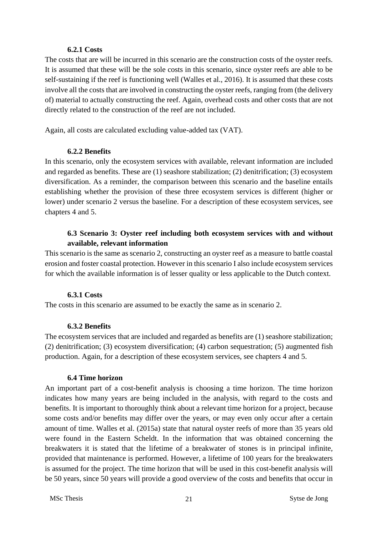#### <span id="page-24-0"></span>**6.2.1 Costs**

The costs that are will be incurred in this scenario are the construction costs of the oyster reefs. It is assumed that these will be the sole costs in this scenario, since oyster reefs are able to be self-sustaining if the reef is functioning well (Walles et al., 2016). It is assumed that these costs involve all the costs that are involved in constructing the oyster reefs, ranging from (the delivery of) material to actually constructing the reef. Again, overhead costs and other costs that are not directly related to the construction of the reef are not included.

Again, all costs are calculated excluding value-added tax (VAT).

#### <span id="page-24-1"></span>**6.2.2 Benefits**

In this scenario, only the ecosystem services with available, relevant information are included and regarded as benefits. These are (1) seashore stabilization; (2) denitrification; (3) ecosystem diversification. As a reminder, the comparison between this scenario and the baseline entails establishing whether the provision of these three ecosystem services is different (higher or lower) under scenario 2 versus the baseline. For a description of these ecosystem services, see chapters 4 and 5.

## **6.3 Scenario 3: Oyster reef including both ecosystem services with and without available, relevant information**

<span id="page-24-2"></span>This scenario is the same as scenario 2, constructing an oyster reef as a measure to battle coastal erosion and foster coastal protection. However in this scenario I also include ecosystem services for which the available information is of lesser quality or less applicable to the Dutch context.

#### <span id="page-24-3"></span>**6.3.1 Costs**

The costs in this scenario are assumed to be exactly the same as in scenario 2.

#### <span id="page-24-4"></span>**6.3.2 Benefits**

The ecosystem services that are included and regarded as benefits are (1) seashore stabilization; (2) denitrification; (3) ecosystem diversification; (4) carbon sequestration; (5) augmented fish production. Again, for a description of these ecosystem services, see chapters 4 and 5.

#### <span id="page-24-5"></span>**6.4 Time horizon**

An important part of a cost-benefit analysis is choosing a time horizon. The time horizon indicates how many years are being included in the analysis, with regard to the costs and benefits. It is important to thoroughly think about a relevant time horizon for a project, because some costs and/or benefits may differ over the years, or may even only occur after a certain amount of time. Walles et al. (2015a) state that natural oyster reefs of more than 35 years old were found in the Eastern Scheldt. In the information that was obtained concerning the breakwaters it is stated that the lifetime of a breakwater of stones is in principal infinite, provided that maintenance is performed. However, a lifetime of 100 years for the breakwaters is assumed for the project. The time horizon that will be used in this cost-benefit analysis will be 50 years, since 50 years will provide a good overview of the costs and benefits that occur in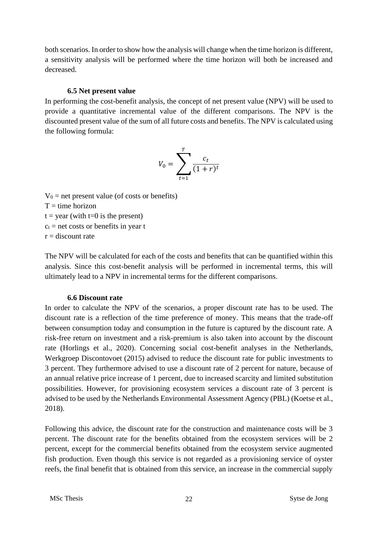both scenarios. In order to show how the analysis will change when the time horizon is different, a sensitivity analysis will be performed where the time horizon will both be increased and decreased.

#### **6.5 Net present value**

<span id="page-25-0"></span>In performing the cost-benefit analysis, the concept of net present value (NPV) will be used to provide a quantitative incremental value of the different comparisons. The NPV is the discounted present value of the sum of all future costs and benefits. The NPV is calculated using the following formula:

$$
V_0 = \sum_{t=1}^T \frac{c_t}{(1+r)^t}
$$

 $V_0$  = net present value (of costs or benefits)  $T =$  time horizon  $t = year$  (with  $t=0$  is the present)  $c_t$  = net costs or benefits in year t  $r =$  discount rate

The NPV will be calculated for each of the costs and benefits that can be quantified within this analysis. Since this cost-benefit analysis will be performed in incremental terms, this will ultimately lead to a NPV in incremental terms for the different comparisons.

#### <span id="page-25-1"></span>**6.6 Discount rate**

In order to calculate the NPV of the scenarios, a proper discount rate has to be used. The discount rate is a reflection of the time preference of money. This means that the trade-off between consumption today and consumption in the future is captured by the discount rate. A risk-free return on investment and a risk-premium is also taken into account by the discount rate (Horlings et al., 2020). Concerning social cost-benefit analyses in the Netherlands, Werkgroep Discontovoet (2015) advised to reduce the discount rate for public investments to 3 percent. They furthermore advised to use a discount rate of 2 percent for nature, because of an annual relative price increase of 1 percent, due to increased scarcity and limited substitution possibilities. However, for provisioning ecosystem services a discount rate of 3 percent is advised to be used by the Netherlands Environmental Assessment Agency (PBL) (Koetse et al., 2018).

Following this advice, the discount rate for the construction and maintenance costs will be 3 percent. The discount rate for the benefits obtained from the ecosystem services will be 2 percent, except for the commercial benefits obtained from the ecosystem service augmented fish production. Even though this service is not regarded as a provisioning service of oyster reefs, the final benefit that is obtained from this service, an increase in the commercial supply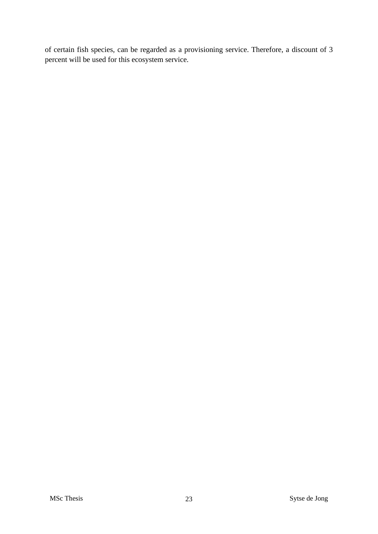of certain fish species, can be regarded as a provisioning service. Therefore, a discount of 3 percent will be used for this ecosystem service.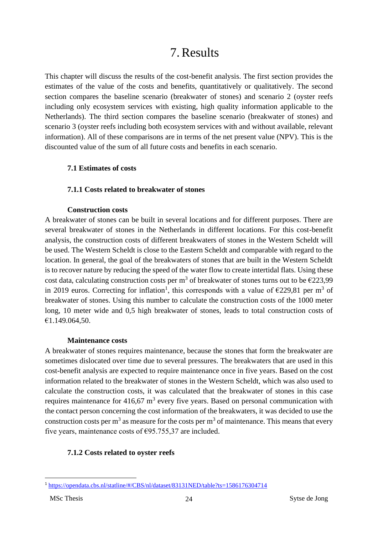# 7.Results

<span id="page-27-0"></span>This chapter will discuss the results of the cost-benefit analysis. The first section provides the estimates of the value of the costs and benefits, quantitatively or qualitatively. The second section compares the baseline scenario (breakwater of stones) and scenario 2 (oyster reefs including only ecosystem services with existing, high quality information applicable to the Netherlands). The third section compares the baseline scenario (breakwater of stones) and scenario 3 (oyster reefs including both ecosystem services with and without available, relevant information). All of these comparisons are in terms of the net present value (NPV). This is the discounted value of the sum of all future costs and benefits in each scenario.

## <span id="page-27-1"></span>**7.1 Estimates of costs**

## <span id="page-27-2"></span>**7.1.1 Costs related to breakwater of stones**

## **Construction costs**

A breakwater of stones can be built in several locations and for different purposes. There are several breakwater of stones in the Netherlands in different locations. For this cost-benefit analysis, the construction costs of different breakwaters of stones in the Western Scheldt will be used. The Western Scheldt is close to the Eastern Scheldt and comparable with regard to the location. In general, the goal of the breakwaters of stones that are built in the Western Scheldt is to recover nature by reducing the speed of the water flow to create intertidal flats. Using these cost data, calculating construction costs per m<sup>3</sup> of breakwater of stones turns out to be  $\epsilon$ 223,99 in 2019 euros. Correcting for inflation<sup>1</sup>, this corresponds with a value of  $\epsilon$ 229,81 per m<sup>3</sup> of breakwater of stones. Using this number to calculate the construction costs of the 1000 meter long, 10 meter wide and 0,5 high breakwater of stones, leads to total construction costs of €1.149.064,50.

#### **Maintenance costs**

A breakwater of stones requires maintenance, because the stones that form the breakwater are sometimes dislocated over time due to several pressures. The breakwaters that are used in this cost-benefit analysis are expected to require maintenance once in five years. Based on the cost information related to the breakwater of stones in the Western Scheldt, which was also used to calculate the construction costs, it was calculated that the breakwater of stones in this case requires maintenance for  $416,67$  m<sup>3</sup> every five years. Based on personal communication with the contact person concerning the cost information of the breakwaters, it was decided to use the construction costs per  $m<sup>3</sup>$  as measure for the costs per  $m<sup>3</sup>$  of maintenance. This means that every five years, maintenance costs of  $\epsilon$ 95.755,37 are included.

# <span id="page-27-3"></span>**7.1.2 Costs related to oyster reefs**

<sup>1</sup> <https://opendata.cbs.nl/statline/#/CBS/nl/dataset/83131NED/table?ts=1586176304714>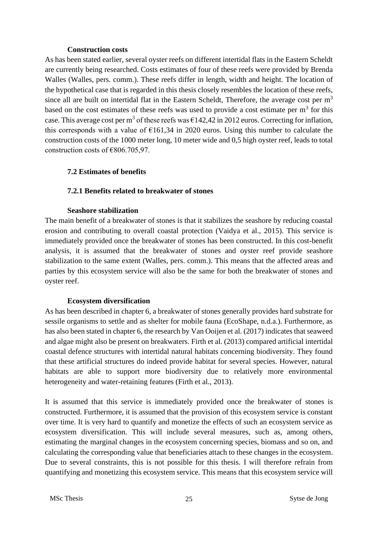#### **Construction costs**

As has been stated earlier, several oyster reefs on different intertidal flats in the Eastern Scheldt are currently being researched. Costs estimates of four of these reefs were provided by Brenda Walles (Walles, pers. comm.). These reefs differ in length, width and height. The location of the hypothetical case that is regarded in this thesis closely resembles the location of these reefs, since all are built on intertidal flat in the Eastern Scheldt, Therefore, the average cost per  $m<sup>3</sup>$ based on the cost estimates of these reefs was used to provide a cost estimate per  $m<sup>3</sup>$  for this case. This average cost per m<sup>3</sup> of these reefs was  $\epsilon$ 142,42 in 2012 euros. Correcting for inflation, this corresponds with a value of  $\epsilon$ 161,34 in 2020 euros. Using this number to calculate the construction costs of the 1000 meter long, 10 meter wide and 0,5 high oyster reef, leads to total construction costs of €806.705,97.

#### <span id="page-28-0"></span>**7.2 Estimates of benefits**

## <span id="page-28-1"></span>**7.2.1 Benefits related to breakwater of stones**

#### **Seashore stabilization**

The main benefit of a breakwater of stones is that it stabilizes the seashore by reducing coastal erosion and contributing to overall coastal protection (Vaidya et al., 2015). This service is immediately provided once the breakwater of stones has been constructed. In this cost-benefit analysis, it is assumed that the breakwater of stones and oyster reef provide seashore stabilization to the same extent (Walles, pers. comm.). This means that the affected areas and parties by this ecosystem service will also be the same for both the breakwater of stones and oyster reef.

#### **Ecosystem diversification**

As has been described in chapter 6, a breakwater of stones generally provides hard substrate for sessile organisms to settle and as shelter for mobile fauna (EcoShape, n.d.a.). Furthermore, as has also been stated in chapter 6, the research by Van Ooijen et al. (2017) indicates that seaweed and algae might also be present on breakwaters. Firth et al. (2013) compared artificial intertidal coastal defence structures with intertidal natural habitats concerning biodiversity. They found that these artificial structures do indeed provide habitat for several species. However, natural habitats are able to support more biodiversity due to relatively more environmental heterogeneity and water-retaining features (Firth et al., 2013).

It is assumed that this service is immediately provided once the breakwater of stones is constructed. Furthermore, it is assumed that the provision of this ecosystem service is constant over time. It is very hard to quantify and monetize the effects of such an ecosystem service as ecosystem diversification. This will include several measures, such as, among others, estimating the marginal changes in the ecosystem concerning species, biomass and so on, and calculating the corresponding value that beneficiaries attach to these changes in the ecosystem. Due to several constraints, this is not possible for this thesis. I will therefore refrain from quantifying and monetizing this ecosystem service. This means that this ecosystem service will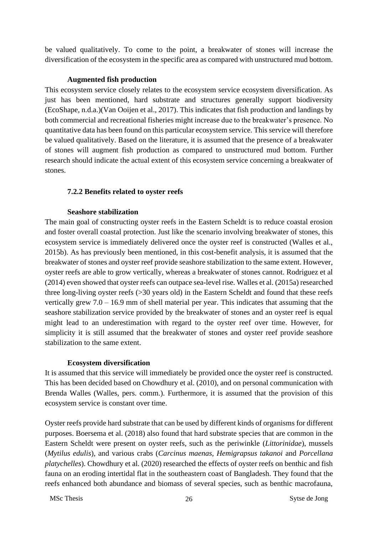be valued qualitatively. To come to the point, a breakwater of stones will increase the diversification of the ecosystem in the specific area as compared with unstructured mud bottom.

#### **Augmented fish production**

This ecosystem service closely relates to the ecosystem service ecosystem diversification. As just has been mentioned, hard substrate and structures generally support biodiversity (EcoShape, n.d.a.)(Van Ooijen et al., 2017). This indicates that fish production and landings by both commercial and recreational fisheries might increase due to the breakwater's presence. No quantitative data has been found on this particular ecosystem service. This service will therefore be valued qualitatively. Based on the literature, it is assumed that the presence of a breakwater of stones will augment fish production as compared to unstructured mud bottom. Further research should indicate the actual extent of this ecosystem service concerning a breakwater of stones.

## <span id="page-29-0"></span>**7.2.2 Benefits related to oyster reefs**

#### **Seashore stabilization**

The main goal of constructing oyster reefs in the Eastern Scheldt is to reduce coastal erosion and foster overall coastal protection. Just like the scenario involving breakwater of stones, this ecosystem service is immediately delivered once the oyster reef is constructed (Walles et al., 2015b). As has previously been mentioned, in this cost-benefit analysis, it is assumed that the breakwater of stones and oyster reef provide seashore stabilization to the same extent. However, oyster reefs are able to grow vertically, whereas a breakwater of stones cannot. Rodriguez et al (2014) even showed that oyster reefs can outpace sea-level rise. Walles et al. (2015a) researched three long-living oyster reefs (>30 years old) in the Eastern Scheldt and found that these reefs vertically grew 7.0 – 16.9 mm of shell material per year. This indicates that assuming that the seashore stabilization service provided by the breakwater of stones and an oyster reef is equal might lead to an underestimation with regard to the oyster reef over time. However, for simplicity it is still assumed that the breakwater of stones and oyster reef provide seashore stabilization to the same extent.

#### **Ecosystem diversification**

It is assumed that this service will immediately be provided once the oyster reef is constructed. This has been decided based on Chowdhury et al. (2010), and on personal communication with Brenda Walles (Walles, pers. comm.). Furthermore, it is assumed that the provision of this ecosystem service is constant over time.

Oyster reefs provide hard substrate that can be used by different kinds of organisms for different purposes. Boersema et al. (2018) also found that hard substrate species that are common in the Eastern Scheldt were present on oyster reefs, such as the periwinkle (*Littorinidae*), mussels (*Mytilus edulis*), and various crabs (*Carcinus maenas, Hemigrapsus takanoi* and *Porcellana platychelles*). Chowdhury et al. (2020) researched the effects of oyster reefs on benthic and fish fauna on an eroding intertidal flat in the southeastern coast of Bangladesh. They found that the reefs enhanced both abundance and biomass of several species, such as benthic macrofauna,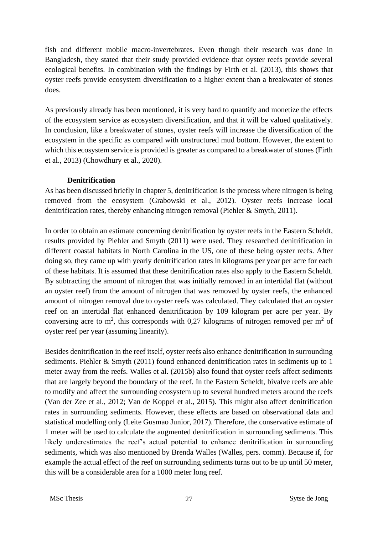fish and different mobile macro-invertebrates. Even though their research was done in Bangladesh, they stated that their study provided evidence that oyster reefs provide several ecological benefits. In combination with the findings by Firth et al. (2013), this shows that oyster reefs provide ecosystem diversification to a higher extent than a breakwater of stones does.

As previously already has been mentioned, it is very hard to quantify and monetize the effects of the ecosystem service as ecosystem diversification, and that it will be valued qualitatively. In conclusion, like a breakwater of stones, oyster reefs will increase the diversification of the ecosystem in the specific as compared with unstructured mud bottom. However, the extent to which this ecosystem service is provided is greater as compared to a breakwater of stones (Firth et al., 2013) (Chowdhury et al., 2020).

#### **Denitrification**

As has been discussed briefly in chapter 5, denitrification is the process where nitrogen is being removed from the ecosystem (Grabowski et al., 2012). Oyster reefs increase local denitrification rates, thereby enhancing nitrogen removal (Piehler & Smyth, 2011).

In order to obtain an estimate concerning denitrification by oyster reefs in the Eastern Scheldt, results provided by Piehler and Smyth (2011) were used. They researched denitrification in different coastal habitats in North Carolina in the US, one of these being oyster reefs. After doing so, they came up with yearly denitrification rates in kilograms per year per acre for each of these habitats. It is assumed that these denitrification rates also apply to the Eastern Scheldt. By subtracting the amount of nitrogen that was initially removed in an intertidal flat (without an oyster reef) from the amount of nitrogen that was removed by oyster reefs, the enhanced amount of nitrogen removal due to oyster reefs was calculated. They calculated that an oyster reef on an intertidal flat enhanced denitrification by 109 kilogram per acre per year. By conversing acre to  $m^2$ , this corresponds with 0,27 kilograms of nitrogen removed per  $m^2$  of oyster reef per year (assuming linearity).

Besides denitrification in the reef itself, oyster reefs also enhance denitrification in surrounding sediments. Piehler & Smyth (2011) found enhanced denitrification rates in sediments up to 1 meter away from the reefs. Walles et al. (2015b) also found that oyster reefs affect sediments that are largely beyond the boundary of the reef. In the Eastern Scheldt, bivalve reefs are able to modify and affect the surrounding ecosystem up to several hundred meters around the reefs (Van der Zee et al., 2012; Van de Koppel et al., 2015). This might also affect denitrification rates in surrounding sediments. However, these effects are based on observational data and statistical modelling only (Leite Gusmao Junior, 2017). Therefore, the conservative estimate of 1 meter will be used to calculate the augmented denitrification in surrounding sediments. This likely underestimates the reef's actual potential to enhance denitrification in surrounding sediments, which was also mentioned by Brenda Walles (Walles, pers. comm). Because if, for example the actual effect of the reef on surrounding sediments turns out to be up until 50 meter, this will be a considerable area for a 1000 meter long reef.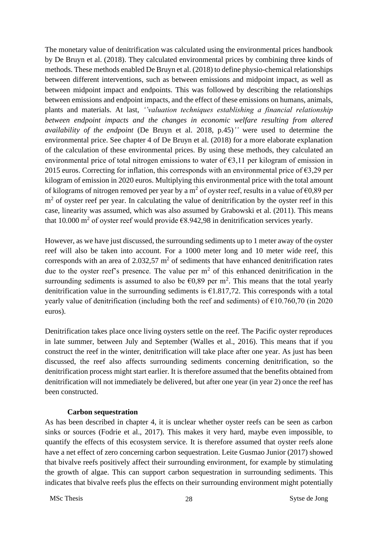The monetary value of denitrification was calculated using the environmental prices handbook by De Bruyn et al. (2018). They calculated environmental prices by combining three kinds of methods. These methods enabled De Bruyn et al. (2018) to define physio-chemical relationships between different interventions, such as between emissions and midpoint impact, as well as between midpoint impact and endpoints. This was followed by describing the relationships between emissions and endpoint impacts, and the effect of these emissions on humans, animals, plants and materials. At last, *''valuation techniques establishing a financial relationship between endpoint impacts and the changes in economic welfare resulting from altered availability of the endpoint* (De Bruyn et al. 2018, p.45)*''* were used to determine the environmental price. See chapter 4 of De Bruyn et al. (2018) for a more elaborate explanation of the calculation of these environmental prices. By using these methods, they calculated an environmental price of total nitrogen emissions to water of  $\epsilon$ 3,11 per kilogram of emission in 2015 euros. Correcting for inflation, this corresponds with an environmental price of  $\epsilon$ 3,29 per kilogram of emission in 2020 euros. Multiplying this environmental price with the total amount of kilograms of nitrogen removed per year by a m<sup>2</sup> of oyster reef, results in a value of  $\epsilon$ 0,89 per m<sup>2</sup> of oyster reef per year. In calculating the value of denitrification by the oyster reef in this case, linearity was assumed, which was also assumed by Grabowski et al. (2011). This means that 10.000 m<sup>2</sup> of oyster reef would provide  $\epsilon$ 8.942,98 in denitrification services yearly.

However, as we have just discussed, the surrounding sediments up to 1 meter away of the oyster reef will also be taken into account. For a 1000 meter long and 10 meter wide reef, this corresponds with an area of  $2.032,57$  m<sup>2</sup> of sediments that have enhanced denitrification rates due to the oyster reef's presence. The value per  $m<sup>2</sup>$  of this enhanced denitrification in the surrounding sediments is assumed to also be  $\epsilon$ 0,89 per m<sup>2</sup>. This means that the total yearly denitrification value in the surrounding sediments is  $\epsilon$ 1.817,72. This corresponds with a total yearly value of denitrification (including both the reef and sediments) of  $\epsilon$ 10.760,70 (in 2020 euros).

Denitrification takes place once living oysters settle on the reef. The Pacific oyster reproduces in late summer, between July and September (Walles et al., 2016). This means that if you construct the reef in the winter, denitrification will take place after one year. As just has been discussed, the reef also affects surrounding sediments concerning denitrification, so the denitrification process might start earlier. It is therefore assumed that the benefits obtained from denitrification will not immediately be delivered, but after one year (in year 2) once the reef has been constructed.

#### **Carbon sequestration**

As has been described in chapter 4, it is unclear whether oyster reefs can be seen as carbon sinks or sources (Fodrie et al., 2017). This makes it very hard, maybe even impossible, to quantify the effects of this ecosystem service. It is therefore assumed that oyster reefs alone have a net effect of zero concerning carbon sequestration. Leite Gusmao Junior (2017) showed that bivalve reefs positively affect their surrounding environment, for example by stimulating the growth of algae. This can support carbon sequestration in surrounding sediments. This indicates that bivalve reefs plus the effects on their surrounding environment might potentially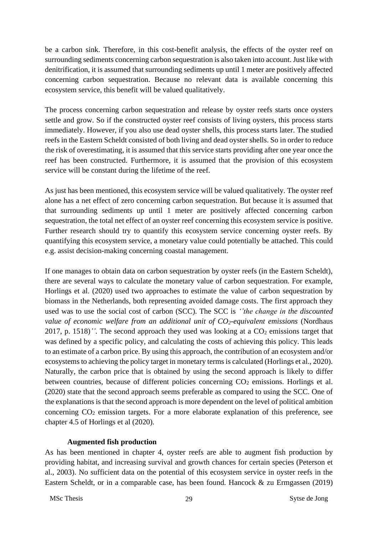be a carbon sink. Therefore, in this cost-benefit analysis, the effects of the oyster reef on surrounding sediments concerning carbon sequestration is also taken into account. Just like with denitrification, it is assumed that surrounding sediments up until 1 meter are positively affected concerning carbon sequestration. Because no relevant data is available concerning this ecosystem service, this benefit will be valued qualitatively.

The process concerning carbon sequestration and release by oyster reefs starts once oysters settle and grow. So if the constructed oyster reef consists of living oysters, this process starts immediately. However, if you also use dead oyster shells, this process starts later. The studied reefs in the Eastern Scheldt consisted of both living and dead oyster shells. So in order to reduce the risk of overestimating, it is assumed that this service starts providing after one year once the reef has been constructed. Furthermore, it is assumed that the provision of this ecosystem service will be constant during the lifetime of the reef.

As just has been mentioned, this ecosystem service will be valued qualitatively. The oyster reef alone has a net effect of zero concerning carbon sequestration. But because it is assumed that that surrounding sediments up until 1 meter are positively affected concerning carbon sequestration, the total net effect of an oyster reef concerning this ecosystem service is positive. Further research should try to quantify this ecosystem service concerning oyster reefs. By quantifying this ecosystem service, a monetary value could potentially be attached. This could e.g. assist decision-making concerning coastal management.

If one manages to obtain data on carbon sequestration by oyster reefs (in the Eastern Scheldt), there are several ways to calculate the monetary value of carbon sequestration. For example, Horlings et al. (2020) used two approaches to estimate the value of carbon sequestration by biomass in the Netherlands, both representing avoided damage costs. The first approach they used was to use the social cost of carbon (SCC). The SCC is *''the change in the discounted value of economic welfare from an additional unit of CO2-equivalent emissions* (Nordhaus 2017, p. 1518)<sup>''</sup>. The second approach they used was looking at a  $CO<sub>2</sub>$  emissions target that was defined by a specific policy, and calculating the costs of achieving this policy. This leads to an estimate of a carbon price. By using this approach, the contribution of an ecosystem and/or ecosystems to achieving the policy target in monetary terms is calculated (Horlings et al., 2020). Naturally, the carbon price that is obtained by using the second approach is likely to differ between countries, because of different policies concerning  $CO<sub>2</sub>$  emissions. Horlings et al. (2020) state that the second approach seems preferable as compared to using the SCC. One of the explanations is that the second approach is more dependent on the level of political ambition concerning  $CO<sub>2</sub>$  emission targets. For a more elaborate explanation of this preference, see chapter 4.5 of Horlings et al (2020).

#### **Augmented fish production**

As has been mentioned in chapter 4, oyster reefs are able to augment fish production by providing habitat, and increasing survival and growth chances for certain species (Peterson et al., 2003). No sufficient data on the potential of this ecosystem service in oyster reefs in the Eastern Scheldt, or in a comparable case, has been found. Hancock & zu Ermgassen (2019)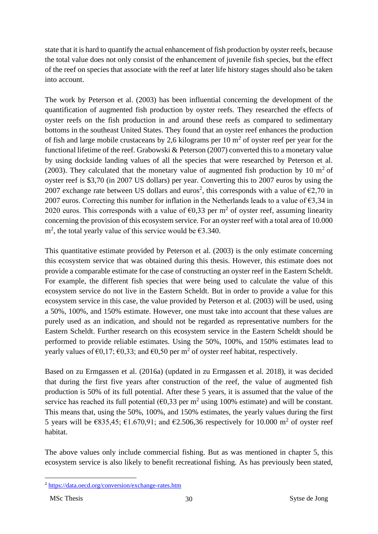state that it is hard to quantify the actual enhancement of fish production by oyster reefs, because the total value does not only consist of the enhancement of juvenile fish species, but the effect of the reef on species that associate with the reef at later life history stages should also be taken into account.

The work by Peterson et al. (2003) has been influential concerning the development of the quantification of augmented fish production by oyster reefs. They researched the effects of oyster reefs on the fish production in and around these reefs as compared to sedimentary bottoms in the southeast United States. They found that an oyster reef enhances the production of fish and large mobile crustaceans by 2,6 kilograms per  $10 \text{ m}^2$  of oyster reef per year for the functional lifetime of the reef. Grabowski & Peterson (2007) converted this to a monetary value by using dockside landing values of all the species that were researched by Peterson et al. (2003). They calculated that the monetary value of augmented fish production by 10  $m<sup>2</sup>$  of oyster reef is \$3,70 (in 2007 US dollars) per year. Converting this to 2007 euros by using the 2007 exchange rate between US dollars and euros<sup>2</sup>, this corresponds with a value of  $\epsilon$ 2,70 in 2007 euros. Correcting this number for inflation in the Netherlands leads to a value of  $\epsilon$ 3,34 in 2020 euros. This corresponds with a value of  $\epsilon$ 0,33 per m<sup>2</sup> of oyster reef, assuming linearity concerning the provision of this ecosystem service. For an oyster reef with a total area of 10.000 m<sup>2</sup>, the total yearly value of this service would be  $\epsilon$ 3.340.

This quantitative estimate provided by Peterson et al. (2003) is the only estimate concerning this ecosystem service that was obtained during this thesis. However, this estimate does not provide a comparable estimate for the case of constructing an oyster reef in the Eastern Scheldt. For example, the different fish species that were being used to calculate the value of this ecosystem service do not live in the Eastern Scheldt. But in order to provide a value for this ecosystem service in this case, the value provided by Peterson et al. (2003) will be used, using a 50%, 100%, and 150% estimate. However, one must take into account that these values are purely used as an indication, and should not be regarded as representative numbers for the Eastern Scheldt. Further research on this ecosystem service in the Eastern Scheldt should be performed to provide reliable estimates. Using the 50%, 100%, and 150% estimates lead to yearly values of  $\epsilon 0, 17$ ;  $\epsilon 0, 33$ ; and  $\epsilon 0, 50$  per m<sup>2</sup> of oyster reef habitat, respectively.

Based on zu Ermgassen et al. (2016a) (updated in zu Ermgassen et al. 2018), it was decided that during the first five years after construction of the reef, the value of augmented fish production is 50% of its full potential. After these 5 years, it is assumed that the value of the service has reached its full potential  $(60,33 \text{ per m}^2 \text{ using } 100\% \text{ estimate})$  and will be constant. This means that, using the 50%, 100%, and 150% estimates, the yearly values during the first 5 years will be  $\epsilon$ 835,45;  $\epsilon$ 1.670,91; and  $\epsilon$ 2.506,36 respectively for 10.000 m<sup>2</sup> of oyster reef habitat.

The above values only include commercial fishing. But as was mentioned in chapter 5, this ecosystem service is also likely to benefit recreational fishing. As has previously been stated,

<sup>2</sup> <https://data.oecd.org/conversion/exchange-rates.htm>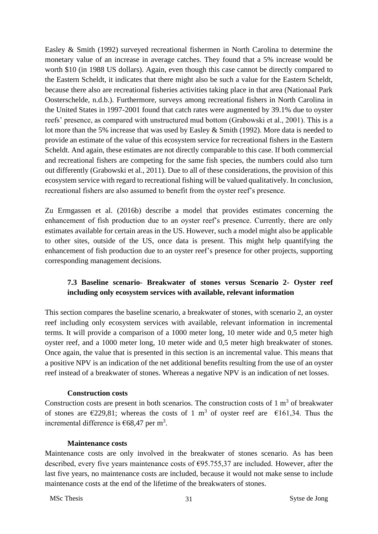Easley & Smith (1992) surveyed recreational fishermen in North Carolina to determine the monetary value of an increase in average catches. They found that a 5% increase would be worth \$10 (in 1988 US dollars). Again, even though this case cannot be directly compared to the Eastern Scheldt, it indicates that there might also be such a value for the Eastern Scheldt, because there also are recreational fisheries activities taking place in that area (Nationaal Park Oosterschelde, n.d.b.). Furthermore, surveys among recreational fishers in North Carolina in the United States in 1997-2001 found that catch rates were augmented by 39.1% due to oyster reefs' presence, as compared with unstructured mud bottom (Grabowski et al., 2001). This is a lot more than the 5% increase that was used by Easley & Smith (1992). More data is needed to provide an estimate of the value of this ecosystem service for recreational fishers in the Eastern Scheldt. And again, these estimates are not directly comparable to this case. If both commercial and recreational fishers are competing for the same fish species, the numbers could also turn out differently (Grabowski et al., 2011). Due to all of these considerations, the provision of this ecosystem service with regard to recreational fishing will be valued qualitatively. In conclusion, recreational fishers are also assumed to benefit from the oyster reef's presence.

Zu Ermgassen et al. (2016b) describe a model that provides estimates concerning the enhancement of fish production due to an oyster reef's presence. Currently, there are only estimates available for certain areas in the US. However, such a model might also be applicable to other sites, outside of the US, once data is present. This might help quantifying the enhancement of fish production due to an oyster reef's presence for other projects, supporting corresponding management decisions.

# <span id="page-34-0"></span>**7.3 Baseline scenario- Breakwater of stones versus Scenario 2- Oyster reef including only ecosystem services with available, relevant information**

This section compares the baseline scenario, a breakwater of stones, with scenario 2, an oyster reef including only ecosystem services with available, relevant information in incremental terms. It will provide a comparison of a 1000 meter long, 10 meter wide and 0,5 meter high oyster reef, and a 1000 meter long, 10 meter wide and 0,5 meter high breakwater of stones. Once again, the value that is presented in this section is an incremental value. This means that a positive NPV is an indication of the net additional benefits resulting from the use of an oyster reef instead of a breakwater of stones. Whereas a negative NPV is an indication of net losses.

#### **Construction costs**

Construction costs are present in both scenarios. The construction costs of  $1 \text{ m}^3$  of breakwater of stones are  $\epsilon$ 229,81; whereas the costs of 1 m<sup>3</sup> of oyster reef are  $\epsilon$ 161,34. Thus the incremental difference is  $\epsilon$ 68,47 per m<sup>3</sup>.

#### **Maintenance costs**

Maintenance costs are only involved in the breakwater of stones scenario. As has been described, every five years maintenance costs of  $E95.755,37$  are included. However, after the last five years, no maintenance costs are included, because it would not make sense to include maintenance costs at the end of the lifetime of the breakwaters of stones.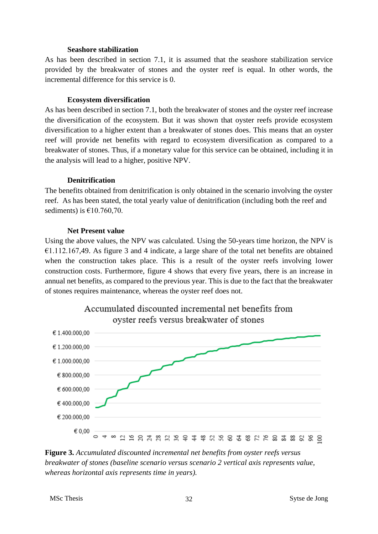#### **Seashore stabilization**

As has been described in section 7.1, it is assumed that the seashore stabilization service provided by the breakwater of stones and the oyster reef is equal. In other words, the incremental difference for this service is 0.

#### **Ecosystem diversification**

As has been described in section 7.1, both the breakwater of stones and the oyster reef increase the diversification of the ecosystem. But it was shown that oyster reefs provide ecosystem diversification to a higher extent than a breakwater of stones does. This means that an oyster reef will provide net benefits with regard to ecosystem diversification as compared to a breakwater of stones. Thus, if a monetary value for this service can be obtained, including it in the analysis will lead to a higher, positive NPV.

#### **Denitrification**

The benefits obtained from denitrification is only obtained in the scenario involving the oyster reef. As has been stated, the total yearly value of denitrification (including both the reef and sediments) is  $£10.760,70$ .

#### **Net Present value**

Using the above values, the NPV was calculated. Using the 50-years time horizon, the NPV is €1.112.167,49. As figure 3 and 4 indicate, a large share of the total net benefits are obtained when the construction takes place. This is a result of the oyster reefs involving lower construction costs. Furthermore, figure 4 shows that every five years, there is an increase in annual net benefits, as compared to the previous year. This is due to the fact that the breakwater of stones requires maintenance, whereas the oyster reef does not.



# Accumulated discounted incremental net benefits from ovster reefs versus breakwater of stones

**Figure 3.** *Accumulated discounted incremental net benefits from oyster reefs versus breakwater of stones (baseline scenario versus scenario 2 vertical axis represents value, whereas horizontal axis represents time in years).*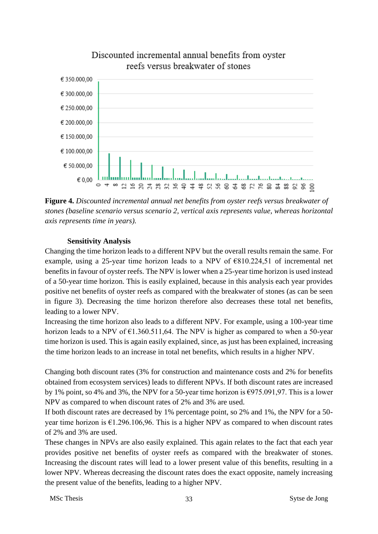

# Discounted incremental annual benefits from ovster reefs versus breakwater of stones

**Figure 4.** *Discounted incremental annual net benefits from oyster reefs versus breakwater of stones (baseline scenario versus scenario 2, vertical axis represents value, whereas horizontal axis represents time in years).*

#### **Sensitivity Analysis**

Changing the time horizon leads to a different NPV but the overall results remain the same. For example, using a 25-year time horizon leads to a NPV of €810.224,51 of incremental net benefits in favour of oyster reefs. The NPV is lower when a 25-year time horizon is used instead of a 50-year time horizon. This is easily explained, because in this analysis each year provides positive net benefits of oyster reefs as compared with the breakwater of stones (as can be seen in figure 3). Decreasing the time horizon therefore also decreases these total net benefits, leading to a lower NPV.

Increasing the time horizon also leads to a different NPV. For example, using a 100-year time horizon leads to a NPV of  $\epsilon$ 1.360.511,64. The NPV is higher as compared to when a 50-year time horizon is used. This is again easily explained, since, as just has been explained, increasing the time horizon leads to an increase in total net benefits, which results in a higher NPV.

Changing both discount rates (3% for construction and maintenance costs and 2% for benefits obtained from ecosystem services) leads to different NPVs. If both discount rates are increased by 1% point, so 4% and 3%, the NPV for a 50-year time horizon is €975.091,97. This is a lower NPV as compared to when discount rates of 2% and 3% are used.

If both discount rates are decreased by 1% percentage point, so 2% and 1%, the NPV for a 50 year time horizon is  $\epsilon$ 1.296.106,96. This is a higher NPV as compared to when discount rates of 2% and 3% are used.

These changes in NPVs are also easily explained. This again relates to the fact that each year provides positive net benefits of oyster reefs as compared with the breakwater of stones. Increasing the discount rates will lead to a lower present value of this benefits, resulting in a lower NPV. Whereas decreasing the discount rates does the exact opposite, namely increasing the present value of the benefits, leading to a higher NPV.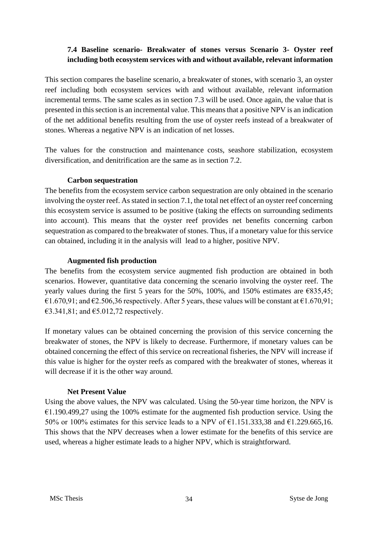# <span id="page-37-0"></span>**7.4 Baseline scenario- Breakwater of stones versus Scenario 3- Oyster reef including both ecosystem services with and without available, relevant information**

This section compares the baseline scenario, a breakwater of stones, with scenario 3, an oyster reef including both ecosystem services with and without available, relevant information incremental terms. The same scales as in section 7.3 will be used. Once again, the value that is presented in this section is an incremental value. This means that a positive NPV is an indication of the net additional benefits resulting from the use of oyster reefs instead of a breakwater of stones. Whereas a negative NPV is an indication of net losses.

The values for the construction and maintenance costs, seashore stabilization, ecosystem diversification, and denitrification are the same as in section 7.2.

#### **Carbon sequestration**

The benefits from the ecosystem service carbon sequestration are only obtained in the scenario involving the oyster reef. As stated in section 7.1, the total net effect of an oyster reef concerning this ecosystem service is assumed to be positive (taking the effects on surrounding sediments into account). This means that the oyster reef provides net benefits concerning carbon sequestration as compared to the breakwater of stones. Thus, if a monetary value for this service can obtained, including it in the analysis will lead to a higher, positive NPV.

## **Augmented fish production**

The benefits from the ecosystem service augmented fish production are obtained in both scenarios. However, quantitative data concerning the scenario involving the oyster reef. The yearly values during the first 5 years for the 50%, 100%, and 150% estimates are  $\epsilon$ 835,45; €1.670,91; and €2.506,36 respectively. After 5 years, these values will be constant at €1.670,91;  $\text{\textsterling}3.341,81$ ; and  $\text{\textsterling}5.012,72$  respectively.

If monetary values can be obtained concerning the provision of this service concerning the breakwater of stones, the NPV is likely to decrease. Furthermore, if monetary values can be obtained concerning the effect of this service on recreational fisheries, the NPV will increase if this value is higher for the oyster reefs as compared with the breakwater of stones, whereas it will decrease if it is the other way around.

#### **Net Present Value**

Using the above values, the NPV was calculated. Using the 50-year time horizon, the NPV is  $€1.190.499,27$  using the 100% estimate for the augmented fish production service. Using the 50% or 100% estimates for this service leads to a NPV of  $\epsilon$ 1.151.333.38 and  $\epsilon$ 1.229.665.16. This shows that the NPV decreases when a lower estimate for the benefits of this service are used, whereas a higher estimate leads to a higher NPV, which is straightforward.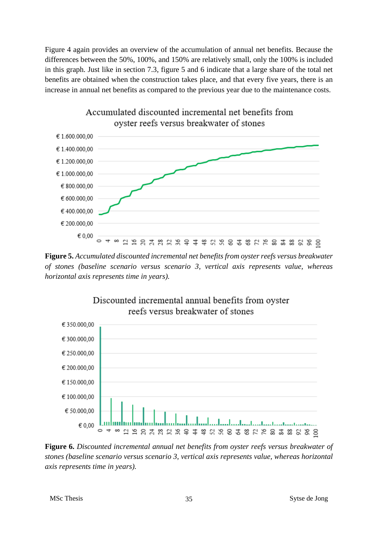Figure 4 again provides an overview of the accumulation of annual net benefits. Because the differences between the 50%, 100%, and 150% are relatively small, only the 100% is included in this graph. Just like in section 7.3, figure 5 and 6 indicate that a large share of the total net benefits are obtained when the construction takes place, and that every five years, there is an increase in annual net benefits as compared to the previous year due to the maintenance costs.



Accumulated discounted incremental net benefits from oyster reefs versus breakwater of stones

**Figure 5.** *Accumulated discounted incremental net benefits from oyster reefs versus breakwater of stones (baseline scenario versus scenario 3, vertical axis represents value, whereas horizontal axis represents time in years).*



**Figure 6.** *Discounted incremental annual net benefits from oyster reefs versus breakwater of stones (baseline scenario versus scenario 3, vertical axis represents value, whereas horizontal axis represents time in years).*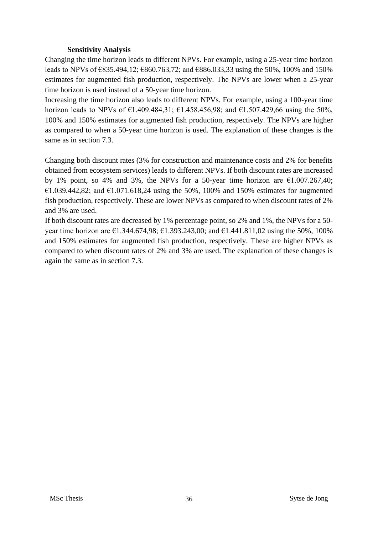#### **Sensitivity Analysis**

Changing the time horizon leads to different NPVs. For example, using a 25-year time horizon leads to NPVs of €835.494,12; €860.763,72; and €886.033,33 using the 50%, 100% and 150% estimates for augmented fish production, respectively. The NPVs are lower when a 25-year time horizon is used instead of a 50-year time horizon.

Increasing the time horizon also leads to different NPVs. For example, using a 100-year time horizon leads to NPVs of  $\epsilon$ 1.409.484,31;  $\epsilon$ 1.458.456,98; and  $\epsilon$ 1.507.429,66 using the 50%, 100% and 150% estimates for augmented fish production, respectively. The NPVs are higher as compared to when a 50-year time horizon is used. The explanation of these changes is the same as in section 7.3.

Changing both discount rates (3% for construction and maintenance costs and 2% for benefits obtained from ecosystem services) leads to different NPVs. If both discount rates are increased by 1% point, so 4% and 3%, the NPVs for a 50-year time horizon are  $\epsilon$ 1.007.267,40; €1.039.442,82; and €1.071.618,24 using the 50%, 100% and 150% estimates for augmented fish production, respectively. These are lower NPVs as compared to when discount rates of 2% and 3% are used.

If both discount rates are decreased by 1% percentage point, so 2% and 1%, the NPVs for a 50 year time horizon are €1.344.674,98; €1.393.243,00; and €1.441.811,02 using the 50%, 100% and 150% estimates for augmented fish production, respectively. These are higher NPVs as compared to when discount rates of 2% and 3% are used. The explanation of these changes is again the same as in section 7.3.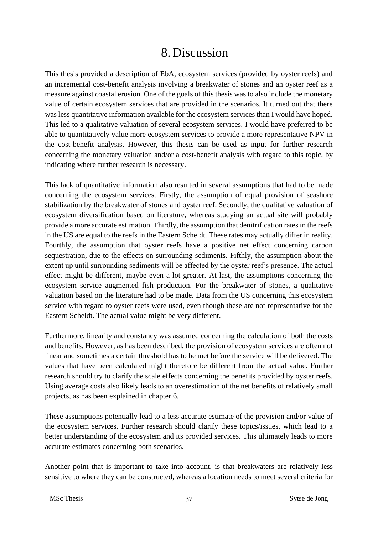# 8. Discussion

<span id="page-40-0"></span>This thesis provided a description of EbA, ecosystem services (provided by oyster reefs) and an incremental cost-benefit analysis involving a breakwater of stones and an oyster reef as a measure against coastal erosion. One of the goals of this thesis was to also include the monetary value of certain ecosystem services that are provided in the scenarios. It turned out that there was less quantitative information available for the ecosystem services than I would have hoped. This led to a qualitative valuation of several ecosystem services. I would have preferred to be able to quantitatively value more ecosystem services to provide a more representative NPV in the cost-benefit analysis. However, this thesis can be used as input for further research concerning the monetary valuation and/or a cost-benefit analysis with regard to this topic, by indicating where further research is necessary.

This lack of quantitative information also resulted in several assumptions that had to be made concerning the ecosystem services. Firstly, the assumption of equal provision of seashore stabilization by the breakwater of stones and oyster reef. Secondly, the qualitative valuation of ecosystem diversification based on literature, whereas studying an actual site will probably provide a more accurate estimation. Thirdly, the assumption that denitrification rates in the reefs in the US are equal to the reefs in the Eastern Scheldt. These rates may actually differ in reality. Fourthly, the assumption that oyster reefs have a positive net effect concerning carbon sequestration, due to the effects on surrounding sediments. Fifthly, the assumption about the extent up until surrounding sediments will be affected by the oyster reef's presence. The actual effect might be different, maybe even a lot greater. At last, the assumptions concerning the ecosystem service augmented fish production. For the breakwater of stones, a qualitative valuation based on the literature had to be made. Data from the US concerning this ecosystem service with regard to oyster reefs were used, even though these are not representative for the Eastern Scheldt. The actual value might be very different.

Furthermore, linearity and constancy was assumed concerning the calculation of both the costs and benefits. However, as has been described, the provision of ecosystem services are often not linear and sometimes a certain threshold has to be met before the service will be delivered. The values that have been calculated might therefore be different from the actual value. Further research should try to clarify the scale effects concerning the benefits provided by oyster reefs. Using average costs also likely leads to an overestimation of the net benefits of relatively small projects, as has been explained in chapter 6.

These assumptions potentially lead to a less accurate estimate of the provision and/or value of the ecosystem services. Further research should clarify these topics/issues, which lead to a better understanding of the ecosystem and its provided services. This ultimately leads to more accurate estimates concerning both scenarios.

Another point that is important to take into account, is that breakwaters are relatively less sensitive to where they can be constructed, whereas a location needs to meet several criteria for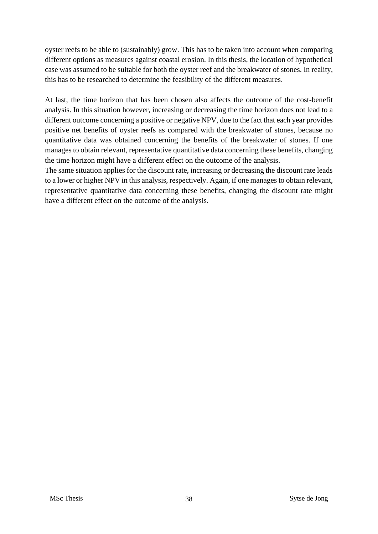oyster reefs to be able to (sustainably) grow. This has to be taken into account when comparing different options as measures against coastal erosion. In this thesis, the location of hypothetical case was assumed to be suitable for both the oyster reef and the breakwater of stones. In reality, this has to be researched to determine the feasibility of the different measures.

At last, the time horizon that has been chosen also affects the outcome of the cost-benefit analysis. In this situation however, increasing or decreasing the time horizon does not lead to a different outcome concerning a positive or negative NPV, due to the fact that each year provides positive net benefits of oyster reefs as compared with the breakwater of stones, because no quantitative data was obtained concerning the benefits of the breakwater of stones. If one manages to obtain relevant, representative quantitative data concerning these benefits, changing the time horizon might have a different effect on the outcome of the analysis.

The same situation applies for the discount rate, increasing or decreasing the discount rate leads to a lower or higher NPV in this analysis, respectively. Again, if one manages to obtain relevant, representative quantitative data concerning these benefits, changing the discount rate might have a different effect on the outcome of the analysis.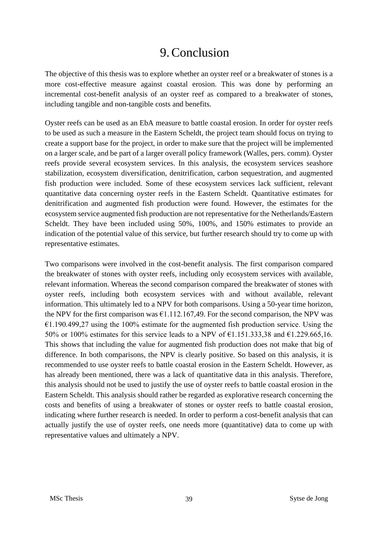# 9.Conclusion

<span id="page-42-0"></span>The objective of this thesis was to explore whether an oyster reef or a breakwater of stones is a more cost-effective measure against coastal erosion. This was done by performing an incremental cost-benefit analysis of an oyster reef as compared to a breakwater of stones, including tangible and non-tangible costs and benefits.

Oyster reefs can be used as an EbA measure to battle coastal erosion. In order for oyster reefs to be used as such a measure in the Eastern Scheldt, the project team should focus on trying to create a support base for the project, in order to make sure that the project will be implemented on a larger scale, and be part of a larger overall policy framework (Walles, pers. comm). Oyster reefs provide several ecosystem services. In this analysis, the ecosystem services seashore stabilization, ecosystem diversification, denitrification, carbon sequestration, and augmented fish production were included. Some of these ecosystem services lack sufficient, relevant quantitative data concerning oyster reefs in the Eastern Scheldt. Quantitative estimates for denitrification and augmented fish production were found. However, the estimates for the ecosystem service augmented fish production are not representative for the Netherlands/Eastern Scheldt. They have been included using 50%, 100%, and 150% estimates to provide an indication of the potential value of this service, but further research should try to come up with representative estimates.

Two comparisons were involved in the cost-benefit analysis. The first comparison compared the breakwater of stones with oyster reefs, including only ecosystem services with available, relevant information. Whereas the second comparison compared the breakwater of stones with oyster reefs, including both ecosystem services with and without available, relevant information. This ultimately led to a NPV for both comparisons. Using a 50-year time horizon, the NPV for the first comparison was  $\epsilon$ 1.112.167,49. For the second comparison, the NPV was  $\epsilon$ 1.190.499,27 using the 100% estimate for the augmented fish production service. Using the 50% or 100% estimates for this service leads to a NPV of  $\epsilon$ 1.151.333,38 and  $\epsilon$ 1.229.665,16. This shows that including the value for augmented fish production does not make that big of difference. In both comparisons, the NPV is clearly positive. So based on this analysis, it is recommended to use oyster reefs to battle coastal erosion in the Eastern Scheldt. However, as has already been mentioned, there was a lack of quantitative data in this analysis. Therefore, this analysis should not be used to justify the use of oyster reefs to battle coastal erosion in the Eastern Scheldt. This analysis should rather be regarded as explorative research concerning the costs and benefits of using a breakwater of stones or oyster reefs to battle coastal erosion, indicating where further research is needed. In order to perform a cost-benefit analysis that can actually justify the use of oyster reefs, one needs more (quantitative) data to come up with representative values and ultimately a NPV.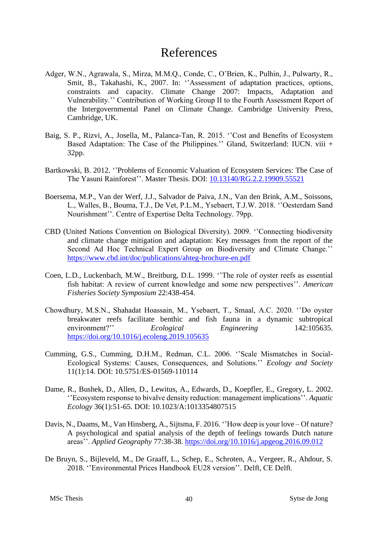# References

- <span id="page-43-0"></span>Adger, W.N., Agrawala, S., Mirza, M.M.Q., Conde, C., O'Brien, K., Pulhin, J., Pulwarty, R., Smit, B., Takahashi, K., 2007. In: ''Assessment of adaptation practices, options, constraints and capacity. Climate Change 2007: Impacts, Adaptation and Vulnerability.'' Contribution of Working Group II to the Fourth Assessment Report of the Intergovernmental Panel on Climate Change. Cambridge University Press, Cambridge, UK.
- Baig, S. P., Rizvi, A., Josella, M., Palanca-Tan, R. 2015. ''Cost and Benefits of Ecosystem Based Adaptation: The Case of the Philippines.'' Gland, Switzerland: IUCN. viii + 32pp.
- Bartkowski, B. 2012. ''Problems of Economic Valuation of Ecosystem Services: The Case of The Yasuní Rainforest''. Master Thesis. DOI: [10.13140/RG.2.2.19909.55521](https://www.researchgate.net/deref/http%3A%2F%2Fdx.doi.org%2F10.13140%2FRG.2.2.19909.55521)
- Boersema, M.P., Van der Werf, J.J., Salvador de Paiva, J.N., Van den Brink, A.M., Soissons, L., Walles, B., Bouma, T.J., De Vet, P.L.M., Ysebaert, T.J.W. 2018. ''Oesterdam Sand Nourishment''. Centre of Expertise Delta Technology. 79pp.
- CBD (United Nations Convention on Biological Diversity). 2009. ''Connecting biodiversity and climate change mitigation and adaptation: Key messages from the report of the Second Ad Hoc Technical Expert Group on Biodiversity and Climate Change.'' <https://www.cbd.int/doc/publications/ahteg-brochure-en.pdf>
- Coen, L.D., Luckenbach, M.W., Breitburg, D.L. 1999. ''The role of oyster reefs as essential fish habitat: A review of current knowledge and some new perspectives''. *American Fisheries Society Symposium* 22:438-454.
- Chowdhury, M.S.N., Shahadat Hoassain, M., Ysebaert, T., Smaal, A.C. 2020. ''Do oyster breakwater reefs facilitate benthic and fish fauna in a dynamic subtropical environment?'' *Ecological Engineering* 142:105635. <https://doi.org/10.1016/j.ecoleng.2019.105635>
- Cumming, G.S., Cumming, D.H.M., Redman, C.L. 2006. ''Scale Mismatches in Social-Ecological Systems: Causes, Consequences, and Solutions.'' *Ecology and Society* 11(1):14. DOI: 10.5751/ES-01569-110114
- Dame, R., Bushek, D., Allen, D., Lewitus, A., Edwards, D., Koepfler, E., Gregory, L. 2002. ''Ecosystem response to bivalve density reduction: management implications''. *Aquatic Ecology* 36(1):51-65. DOI: 10.1023/A:1013354807515
- Davis, N., Daams, M., Van Hinsberg, A., Sijtsma, F. 2016. ''How deep is your love Of nature? A psychological and spatial analysis of the depth of feelings towards Dutch nature areas''. *Applied Geography* 77:38-38.<https://doi.org/10.1016/j.apgeog.2016.09.012>
- De Bruyn, S., Bijleveld, M., De Graaff, L., Schep, E., Schroten, A., Vergeer, R., Ahdour, S. 2018. ''Environmental Prices Handbook EU28 version''. Delft, CE Delft.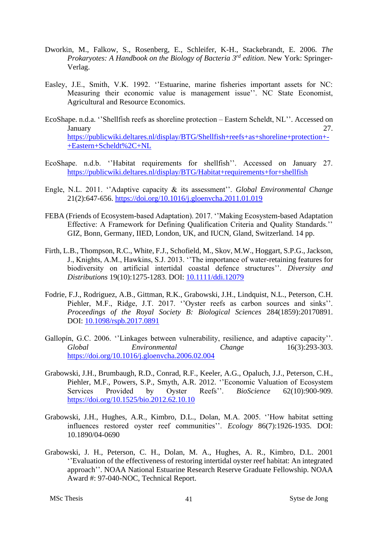- Dworkin, M., Falkow, S., Rosenberg, E., Schleifer, K-H., Stackebrandt, E. 2006. *The Prokaryotes: A Handbook on the Biology of Bacteria 3 rd edition*. New York: Springer-Verlag.
- Easley, J.E., Smith, V.K. 1992. ''Estuarine, marine fisheries important assets for NC: Measuring their economic value is management issue''. NC State Economist, Agricultural and Resource Economics.
- EcoShape. n.d.a. ''Shellfish reefs as shoreline protection Eastern Scheldt, NL''. Accessed on January 27. [https://publicwiki.deltares.nl/display/BTG/Shellfish+reefs+as+shoreline+protection+-](https://publicwiki.deltares.nl/display/BTG/Shellfish+reefs+as+shoreline+protection+-+Eastern+Scheldt%2C+NL) [+Eastern+Scheldt%2C+NL](https://publicwiki.deltares.nl/display/BTG/Shellfish+reefs+as+shoreline+protection+-+Eastern+Scheldt%2C+NL)
- EcoShape. n.d.b. ''Habitat requirements for shellfish''. Accessed on January 27. <https://publicwiki.deltares.nl/display/BTG/Habitat+requirements+for+shellfish>
- Engle, N.L. 2011. ''Adaptive capacity & its assessment''. *Global Environmental Change*  21(2):647-656.<https://doi.org/10.1016/j.gloenvcha.2011.01.019>
- FEBA (Friends of Ecosystem-based Adaptation). 2017. ''Making Ecosystem-based Adaptation Effective: A Framework for Defining Qualification Criteria and Quality Standards.'' GIZ, Bonn, Germany, IIED, London, UK, and IUCN, Gland, Switzerland. 14 pp.
- Firth, L.B., Thompson, R.C., White, F.J., Schofield, M., Skov, M.W., Hoggart, S.P.G., Jackson, J., Knights, A.M., Hawkins, S.J. 2013. ''The importance of water-retaining features for biodiversity on artificial intertidal coastal defence structures''. *Diversity and Distributions* 19(10):1275-1283. DOI: [10.1111/ddi.12079](https://www.researchgate.net/deref/http%3A%2F%2Fdx.doi.org%2F10.1111%2Fddi.12079)
- Fodrie, F.J., Rodriguez, A.B., Gittman, R.K., Grabowski, J.H., Lindquist, N.L., Peterson, C.H. Piehler, M.F., Ridge, J.T. 2017. ''Oyster reefs as carbon sources and sinks''. *Proceedings of the Royal Society B: Biological Sciences* 284(1859):20170891. DOI: [10.1098/rspb.2017.0891](https://www.researchgate.net/deref/http%3A%2F%2Fdx.doi.org%2F10.1098%2Frspb.2017.0891)
- Gallopín, G.C. 2006. ''Linkages between vulnerability, resilience, and adaptive capacity''. *Global Environmental Change* 16(3):293-303. <https://doi.org/10.1016/j.gloenvcha.2006.02.004>
- Grabowski, J.H., Brumbaugh, R.D., Conrad, R.F., Keeler, A.G., Opaluch, J.J., Peterson, C.H., Piehler, M.F., Powers, S.P., Smyth, A.R. 2012. ''Economic Valuation of Ecosystem Services Provided by Oyster Reefs''. *BioScience* 62(10):900-909. <https://doi.org/10.1525/bio.2012.62.10.10>
- Grabowski, J.H., Hughes, A.R., Kimbro, D.L., Dolan, M.A. 2005. ''How habitat setting influences restored oyster reef communities''. *Ecology* 86(7):1926-1935. DOI: 10.1890/04-0690
- Grabowski, J. H., Peterson, C. H., Dolan, M. A., Hughes, A. R., Kimbro, D.L. 2001 ''Evaluation of the effectiveness of restoring intertidal oyster reef habitat: An integrated approach''. NOAA National Estuarine Research Reserve Graduate Fellowship. NOAA Award #: 97-040-NOC, Technical Report.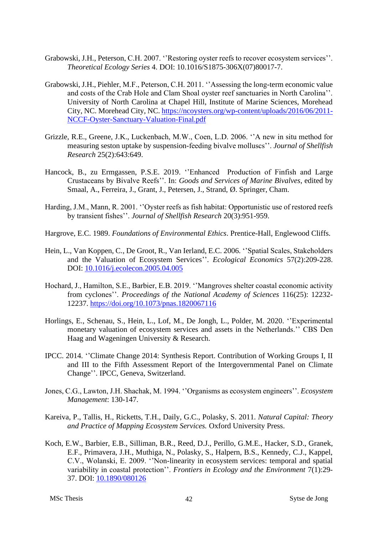- Grabowski, J.H., Peterson, C.H. 2007. ''Restoring oyster reefs to recover ecosystem services''. *Theoretical Ecology Series* 4. DOI: 10.1016/S1875-306X(07)80017-7.
- Grabowski, J.H., Piehler, M.F., Peterson, C.H. 2011. ''Assessing the long-term economic value and costs of the Crab Hole and Clam Shoal oyster reef sanctuaries in North Carolina''. University of North Carolina at Chapel Hill, Institute of Marine Sciences, Morehead City, NC. Morehead City, NC. [https://ncoysters.org/wp-content/uploads/2016/06/2011-](https://ncoysters.org/wp-content/uploads/2016/06/2011-NCCF-Oyster-Sanctuary-Valuation-Final.pdf) [NCCF-Oyster-Sanctuary-Valuation-Final.pdf](https://ncoysters.org/wp-content/uploads/2016/06/2011-NCCF-Oyster-Sanctuary-Valuation-Final.pdf)
- Grizzle, R.E., Greene, J.K., Luckenbach, M.W., Coen, L.D. 2006. ''A new in situ method for measuring seston uptake by suspension-feeding bivalve molluscs''. *Journal of Shellfish Research* 25(2):643:649.
- Hancock, B., zu Ermgassen, P.S.E. 2019. ''Enhanced Production of Finfish and Large Crustaceans by Bivalve Reefs''. In: *Goods and Services of Marine Bivalves*, edited by Smaal, A., Ferreira, J., Grant, J., Petersen, J., Strand, Ø. Springer, Cham.
- Harding, J.M., Mann, R. 2001. ''Oyster reefs as fish habitat: Opportunistic use of restored reefs by transient fishes''. *Journal of Shellfish Research* 20(3):951-959.
- Hargrove, E.C. 1989. *Foundations of Environmental Ethics*. Prentice-Hall, Englewood Cliffs.
- Hein, L., Van Koppen, C., De Groot, R., Van Ierland, E.C. 2006. ''Spatial Scales, Stakeholders and the Valuation of Ecosystem Services''. *Ecological Economics* 57(2):209-228. DOI: [10.1016/j.ecolecon.2005.04.005](https://www.researchgate.net/deref/http%3A%2F%2Fdx.doi.org%2F10.1016%2Fj.ecolecon.2005.04.005)
- Hochard, J., Hamilton, S.E., Barbier, E.B. 2019. ''Mangroves shelter coastal economic activity from cyclones''. *Proceedings of the National Academy of Sciences* 116(25): 12232- 12237.<https://doi.org/10.1073/pnas.1820067116>
- Horlings, E., Schenau, S., Hein, L., Lof, M., De Jongh, L., Polder, M. 2020. ''Experimental monetary valuation of ecosystem services and assets in the Netherlands.'' CBS Den Haag and Wageningen University & Research.
- IPCC. 2014. ''Climate Change 2014: Synthesis Report. Contribution of Working Groups I, II and III to the Fifth Assessment Report of the Intergovernmental Panel on Climate Change''. IPCC, Geneva, Switzerland.
- Jones, C.G., Lawton, J.H. Shachak, M. 1994. ''Organisms as ecosystem engineers''. *Ecosystem Management*: 130-147.
- Kareiva, P., Tallis, H., Ricketts, T.H., Daily, G.C., Polasky, S. 2011. *Natural Capital: Theory and Practice of Mapping Ecosystem Services.* Oxford University Press.
- Koch, E.W., Barbier, E.B., Silliman, B.R., Reed, D.J., Perillo, G.M.E., Hacker, S.D., Granek, E.F., Primavera, J.H., Muthiga, N., Polasky, S., Halpern, B.S., Kennedy, C.J., Kappel, C.V., Wolanski, E. 2009. ''Non-linearity in ecosystem services: temporal and spatial variability in coastal protection''. *Frontiers in Ecology and the Environment* 7(1):29- 37. DOI: [10.1890/080126](https://www.researchgate.net/deref/http%3A%2F%2Fdx.doi.org%2F10.1890%2F080126)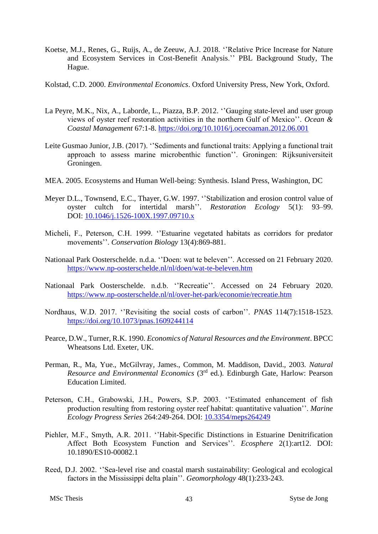- Koetse, M.J., Renes, G., Ruijs, A., de Zeeuw, A.J. 2018. ''Relative Price Increase for Nature and Ecosystem Services in Cost-Benefit Analysis.'' PBL Background Study, The Hague.
- Kolstad, C.D. 2000. *Environmental Economics*. Oxford University Press, New York, Oxford.
- La Peyre, M.K., Nix, A., Laborde, L., Piazza, B.P. 2012. ''Gauging state-level and user group views of oyster reef restoration activities in the northern Gulf of Mexico''. *Ocean & Coastal Management* 67:1-8.<https://doi.org/10.1016/j.ocecoaman.2012.06.001>
- Leite Gusmao Junior, J.B. (2017). ''Sediments and functional traits: Applying a functional trait approach to assess marine microbenthic function''. Groningen: Rijksuniversiteit Groningen.
- MEA. 2005. Ecosystems and Human Well-being: Synthesis. Island Press, Washington, DC
- Meyer D.L., Townsend, E.C., Thayer, G.W. 1997. ''Stabilization and erosion control value of oyster cultch for intertidal marsh''. *Restoration Ecology* 5(1): 93–99. DOI: [10.1046/j.1526-100X.1997.09710.x](https://www.researchgate.net/deref/http%3A%2F%2Fdx.doi.org%2F10.1046%2Fj.1526-100X.1997.09710.x)
- Micheli, F., Peterson, C.H. 1999. ''Estuarine vegetated habitats as corridors for predator movements''. *Conservation Biology* 13(4):869-881.
- Nationaal Park Oosterschelde. n.d.a. ''Doen: wat te beleven''. Accessed on 21 February 2020. <https://www.np-oosterschelde.nl/nl/doen/wat-te-beleven.htm>
- Nationaal Park Oosterschelde. n.d.b. ''Recreatie''. Accessed on 24 February 2020. <https://www.np-oosterschelde.nl/nl/over-het-park/economie/recreatie.htm>
- Nordhaus, W.D. 2017. ''Revisiting the social costs of carbon''. *PNAS* 114(7):1518-1523. <https://doi.org/10.1073/pnas.1609244114>
- Pearce, D.W., Turner, R.K. 1990. *Economics of Natural Resources and the Environment*. BPCC Wheatsons Ltd. Exeter, UK.
- Perman, R., Ma, Yue., McGilvray, James., Common, M. Maddison, David., 2003. *Natural Resource and Environmental Economics* (3rd ed.)*.* Edinburgh Gate, Harlow: Pearson Education Limited.
- Peterson, C.H., Grabowski, J.H., Powers, S.P. 2003. ''Estimated enhancement of fish production resulting from restoring oyster reef habitat: quantitative valuation''. *Marine Ecology Progress Series* 264:249-264. DOI: [10.3354/meps264249](https://www.researchgate.net/deref/http%3A%2F%2Fdx.doi.org%2F10.3354%2Fmeps264249)
- Piehler, M.F., Smyth, A.R. 2011. ''Habit-Specific Distinctions in Estuarine Denitrification Affect Both Ecosystem Function and Services''. *Ecosphere* 2(1):art12. DOI: 10.1890/ES10-00082.1
- Reed, D.J. 2002. ''Sea-level rise and coastal marsh sustainability: Geological and ecological factors in the Mississippi delta plain''. *Geomorphology* 48(1):233-243.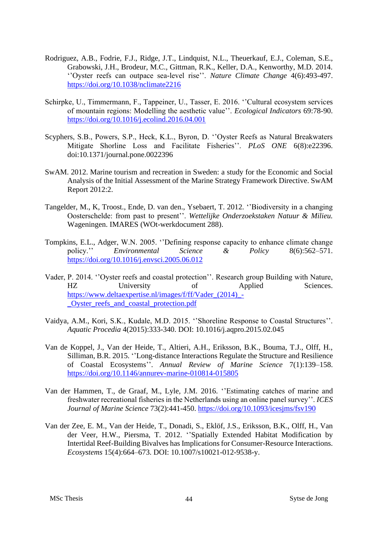- Rodriguez, A.B., Fodrie, F.J., Ridge, J.T., Lindquist, N.L., Theuerkauf, E.J., Coleman, S.E., Grabowski, J.H., Brodeur, M.C., Gittman, R.K., Keller, D.A., Kenworthy, M.D. 2014. ''Oyster reefs can outpace sea-level rise''. *Nature Climate Change* 4(6):493-497. <https://doi.org/10.1038/nclimate2216>
- Schirpke, U., Timmermann, F., Tappeiner, U., Tasser, E. 2016. ''Cultural ecosystem services of mountain regions: Modelling the aesthetic value''. *Ecological Indicators* 69:78-90. <https://doi.org/10.1016/j.ecolind.2016.04.001>
- Scyphers, S.B., Powers, S.P., Heck, K.L., Byron, D. ''Oyster Reefs as Natural Breakwaters Mitigate Shorline Loss and Facilitate Fisheries''. *PLoS ONE* 6(8):e22396. doi:10.1371/journal.pone.0022396
- SwAM. 2012. Marine tourism and recreation in Sweden: a study for the Economic and Social Analysis of the Initial Assessment of the Marine Strategy Framework Directive. SwAM Report 2012:2.
- Tangelder, M., K, Troost., Ende, D. van den., Ysebaert, T. 2012. ''Biodiversity in a changing Oosterschelde: from past to present''. *Wettelijke Onderzoekstaken Natuur & Milieu.*  Wageningen. IMARES (WOt-werkdocument 288).
- Tompkins, E.L., Adger, W.N. 2005. ''Defining response capacity to enhance climate change policy.'' *Environmental Science & Policy* 8(6):562–571. <https://doi.org/10.1016/j.envsci.2005.06.012>
- Vader, P. 2014. ''Oyster reefs and coastal protection''. Research group Building with Nature, HZ University of Applied Sciences. [https://www.deltaexpertise.nl/images/f/ff/Vader\\_\(2014\)\\_-](https://www.deltaexpertise.nl/images/f/ff/Vader_(2014)_-_Oyster_reefs_and_coastal_protection.pdf) [\\_Oyster\\_reefs\\_and\\_coastal\\_protection.pdf](https://www.deltaexpertise.nl/images/f/ff/Vader_(2014)_-_Oyster_reefs_and_coastal_protection.pdf)
- Vaidya, A.M., Kori, S.K., Kudale, M.D. 2015. ''Shoreline Response to Coastal Structures''. *Aquatic Procedia* 4(2015):333-340. DOI: 10.1016/j.aqpro.2015.02.045
- Van de Koppel, J., Van der Heide, T., Altieri, A.H., Eriksson, B.K., Bouma, T.J., Olff, H., Silliman, B.R. 2015. ''Long-distance Interactions Regulate the Structure and Resilience of Coastal Ecosystems''. *Annual Review of Marine Science* 7(1):139–158. <https://doi.org/10.1146/annurev-marine-010814-015805>
- Van der Hammen, T., de Graaf, M., Lyle, J.M. 2016. ''Estimating catches of marine and freshwater recreational fisheries in the Netherlands using an online panel survey''. *ICES Journal of Marine Science* 73(2):441-450.<https://doi.org/10.1093/icesjms/fsv190>
- Van der Zee, E. M., Van der Heide, T., Donadi, S., Eklöf, J.S., Eriksson, B.K., Olff, H., Van der Veer, H.W., Piersma, T. 2012. ''Spatially Extended Habitat Modification by Intertidal Reef-Building Bivalves has Implications for Consumer-Resource Interactions. *Ecosystems* 15(4):664–673. DOI: 10.1007/s10021-012-9538-y.